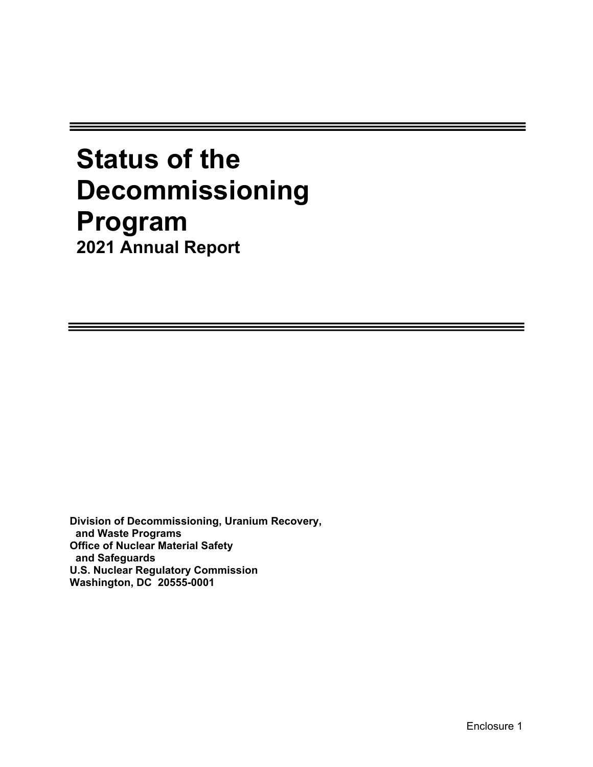# **Status of the Decommissioning Program 2021 Annual Report**

**Division of Decommissioning, Uranium Recovery, and Waste Programs Office of Nuclear Material Safety and Safeguards U.S. Nuclear Regulatory Commission Washington, DC 20555-0001**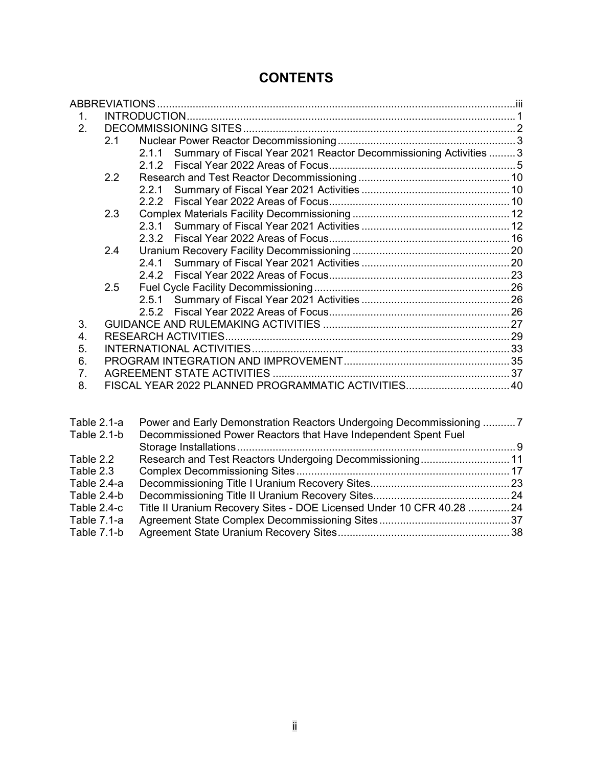# **CONTENTS**

| 1. |     |                                                                          |  |
|----|-----|--------------------------------------------------------------------------|--|
| 2. |     |                                                                          |  |
|    | 2.1 |                                                                          |  |
|    |     | Summary of Fiscal Year 2021 Reactor Decommissioning Activities  3<br>211 |  |
|    |     |                                                                          |  |
|    | 2.2 |                                                                          |  |
|    |     |                                                                          |  |
|    |     | 2.2.2                                                                    |  |
|    | 2.3 |                                                                          |  |
|    |     |                                                                          |  |
|    |     |                                                                          |  |
|    | 2.4 |                                                                          |  |
|    |     | 2.4.1                                                                    |  |
|    |     |                                                                          |  |
|    | 2.5 |                                                                          |  |
|    |     |                                                                          |  |
|    |     |                                                                          |  |
| 3. |     |                                                                          |  |
| 4. |     |                                                                          |  |
| 5. |     |                                                                          |  |
| 6. |     |                                                                          |  |
| 7. |     |                                                                          |  |
| 8. |     | FISCAL YEAR 2022 PLANNED PROGRAMMATIC ACTIVITIES 40                      |  |
|    |     |                                                                          |  |
|    |     |                                                                          |  |

| Table 2.1-a | Power and Early Demonstration Reactors Undergoing Decommissioning 7   |  |
|-------------|-----------------------------------------------------------------------|--|
| Table 2.1-b | Decommissioned Power Reactors that Have Independent Spent Fuel        |  |
|             |                                                                       |  |
| Table 2.2   |                                                                       |  |
| Table 2.3   |                                                                       |  |
| Table 2.4-a |                                                                       |  |
| Table 2.4-b |                                                                       |  |
| Table 2.4-c | Title II Uranium Recovery Sites - DOE Licensed Under 10 CFR 40.28  24 |  |
| Table 7.1-a |                                                                       |  |
| Table 7.1-b |                                                                       |  |
|             |                                                                       |  |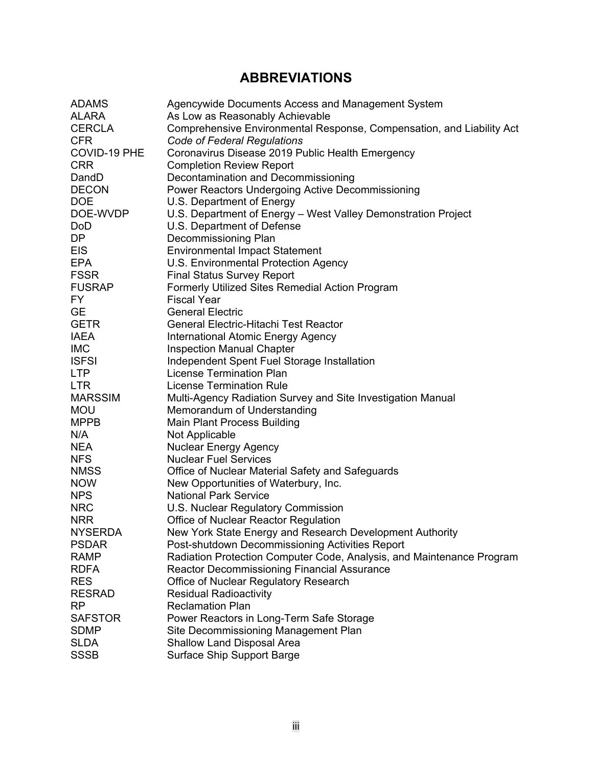# **ABBREVIATIONS**

| <b>ADAMS</b>   | Agencywide Documents Access and Management System                               |
|----------------|---------------------------------------------------------------------------------|
| <b>ALARA</b>   | As Low as Reasonably Achievable                                                 |
| <b>CERCLA</b>  | Comprehensive Environmental Response, Compensation, and Liability Act           |
| <b>CFR</b>     | Code of Federal Regulations                                                     |
| COVID-19 PHE   | Coronavirus Disease 2019 Public Health Emergency                                |
| <b>CRR</b>     | <b>Completion Review Report</b>                                                 |
| DandD          | Decontamination and Decommissioning                                             |
| <b>DECON</b>   | Power Reactors Undergoing Active Decommissioning                                |
| <b>DOE</b>     | U.S. Department of Energy                                                       |
| DOE-WVDP       | U.S. Department of Energy - West Valley Demonstration Project                   |
| <b>DoD</b>     | U.S. Department of Defense                                                      |
| DP.            | Decommissioning Plan                                                            |
| <b>EIS</b>     | <b>Environmental Impact Statement</b>                                           |
| <b>EPA</b>     | U.S. Environmental Protection Agency                                            |
| <b>FSSR</b>    | <b>Final Status Survey Report</b>                                               |
| <b>FUSRAP</b>  | <b>Formerly Utilized Sites Remedial Action Program</b>                          |
| FY.            | <b>Fiscal Year</b>                                                              |
| <b>GE</b>      | <b>General Electric</b>                                                         |
| <b>GETR</b>    | <b>General Electric-Hitachi Test Reactor</b>                                    |
| <b>IAEA</b>    |                                                                                 |
| <b>IMC</b>     | <b>International Atomic Energy Agency</b>                                       |
| <b>ISFSI</b>   | <b>Inspection Manual Chapter</b><br>Independent Spent Fuel Storage Installation |
|                | <b>License Termination Plan</b>                                                 |
| <b>LTP</b>     |                                                                                 |
| <b>LTR</b>     | <b>License Termination Rule</b>                                                 |
| <b>MARSSIM</b> | Multi-Agency Radiation Survey and Site Investigation Manual                     |
| <b>MOU</b>     | Memorandum of Understanding                                                     |
| <b>MPPB</b>    | <b>Main Plant Process Building</b>                                              |
| N/A            | Not Applicable                                                                  |
| NEA            | <b>Nuclear Energy Agency</b>                                                    |
| <b>NFS</b>     | <b>Nuclear Fuel Services</b>                                                    |
| <b>NMSS</b>    | Office of Nuclear Material Safety and Safeguards                                |
| <b>NOW</b>     | New Opportunities of Waterbury, Inc.                                            |
| <b>NPS</b>     | <b>National Park Service</b>                                                    |
| <b>NRC</b>     | U.S. Nuclear Regulatory Commission                                              |
| <b>NRR</b>     | Office of Nuclear Reactor Regulation                                            |
| <b>NYSERDA</b> | New York State Energy and Research Development Authority                        |
| <b>PSDAR</b>   | Post-shutdown Decommissioning Activities Report                                 |
| <b>RAMP</b>    | Radiation Protection Computer Code, Analysis, and Maintenance Program           |
| <b>RDFA</b>    | <b>Reactor Decommissioning Financial Assurance</b>                              |
| <b>RES</b>     | Office of Nuclear Regulatory Research                                           |
| <b>RESRAD</b>  | <b>Residual Radioactivity</b>                                                   |
| RP             | <b>Reclamation Plan</b>                                                         |
| <b>SAFSTOR</b> | Power Reactors in Long-Term Safe Storage                                        |
| <b>SDMP</b>    | Site Decommissioning Management Plan                                            |
| <b>SLDA</b>    | <b>Shallow Land Disposal Area</b>                                               |
| <b>SSSB</b>    | <b>Surface Ship Support Barge</b>                                               |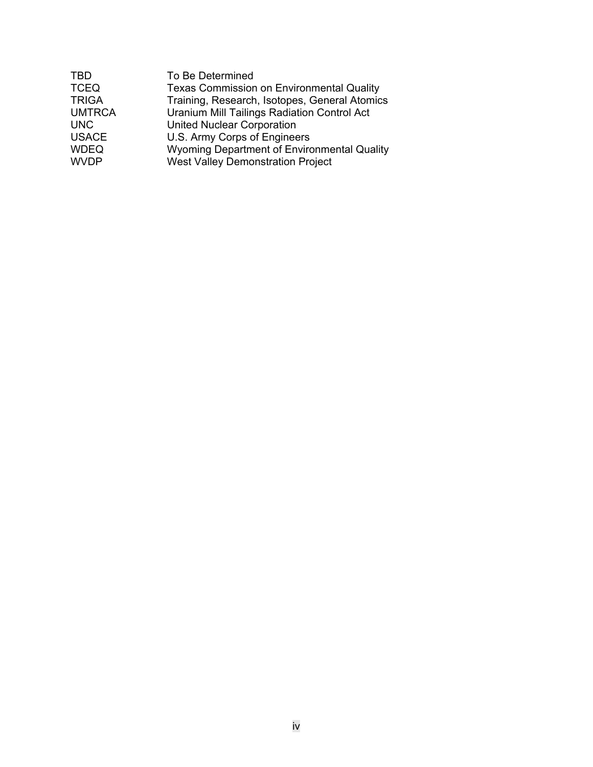| <b>TBD</b>    | To Be Determined                                 |
|---------------|--------------------------------------------------|
| <b>TCEQ</b>   | <b>Texas Commission on Environmental Quality</b> |
| <b>TRIGA</b>  | Training, Research, Isotopes, General Atomics    |
| <b>UMTRCA</b> | Uranium Mill Tailings Radiation Control Act      |
| <b>UNC</b>    | <b>United Nuclear Corporation</b>                |
| <b>USACE</b>  | U.S. Army Corps of Engineers                     |
| <b>WDEQ</b>   | Wyoming Department of Environmental Quality      |
| <b>WVDP</b>   | <b>West Valley Demonstration Project</b>         |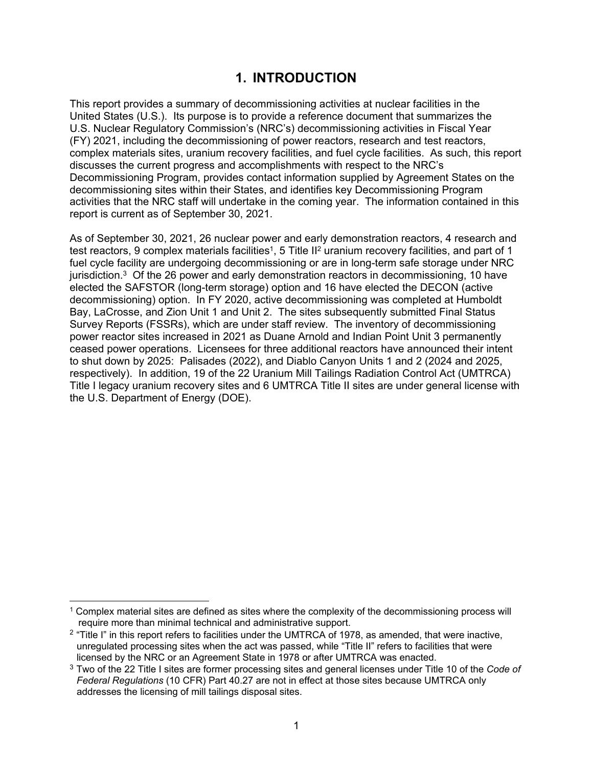# **1. INTRODUCTION**

This report provides a summary of decommissioning activities at nuclear facilities in the United States (U.S.). Its purpose is to provide a reference document that summarizes the U.S. Nuclear Regulatory Commission's (NRC's) decommissioning activities in Fiscal Year (FY) 2021, including the decommissioning of power reactors, research and test reactors, complex materials sites, uranium recovery facilities, and fuel cycle facilities. As such, this report discusses the current progress and accomplishments with respect to the NRC's Decommissioning Program, provides contact information supplied by Agreement States on the decommissioning sites within their States, and identifies key Decommissioning Program activities that the NRC staff will undertake in the coming year. The information contained in this report is current as of September 30, 2021.

As of September 30, 2021, 26 nuclear power and early demonstration reactors, 4 research and test reactors, 9 complex materials facilities<sup>1</sup>, 5 Title II<sup>2</sup> uranium recovery facilities, and part of 1 fuel cycle facility are undergoing decommissioning or are in long-term safe storage under NRC jurisdiction. $3$  Of the 26 power and early demonstration reactors in decommissioning, 10 have elected the SAFSTOR (long-term storage) option and 16 have elected the DECON (active decommissioning) option. In FY 2020, active decommissioning was completed at Humboldt Bay, LaCrosse, and Zion Unit 1 and Unit 2. The sites subsequently submitted Final Status Survey Reports (FSSRs), which are under staff review. The inventory of decommissioning power reactor sites increased in 2021 as Duane Arnold and Indian Point Unit 3 permanently ceased power operations. Licensees for three additional reactors have announced their intent to shut down by 2025: Palisades (2022), and Diablo Canyon Units 1 and 2 (2024 and 2025, respectively). In addition, 19 of the 22 Uranium Mill Tailings Radiation Control Act (UMTRCA) Title I legacy uranium recovery sites and 6 UMTRCA Title II sites are under general license with the U.S. Department of Energy (DOE).

<sup>1</sup> Complex material sites are defined as sites where the complexity of the decommissioning process will require more than minimal technical and administrative support.

 $2$  "Title I" in this report refers to facilities under the UMTRCA of 1978, as amended, that were inactive, unregulated processing sites when the act was passed, while "Title II" refers to facilities that were licensed by the NRC or an Agreement State in 1978 or after UMTRCA was enacted.

<sup>3</sup> Two of the 22 Title I sites are former processing sites and general licenses under Title 10 of the *Code of Federal Regulations* (10 CFR) Part 40.27 are not in effect at those sites because UMTRCA only addresses the licensing of mill tailings disposal sites.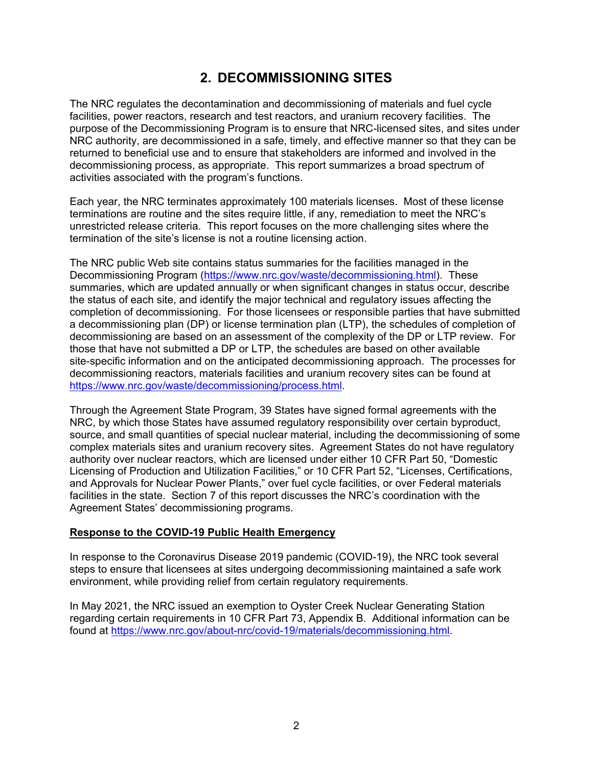# **2. DECOMMISSIONING SITES**

The NRC regulates the decontamination and decommissioning of materials and fuel cycle facilities, power reactors, research and test reactors, and uranium recovery facilities. The purpose of the Decommissioning Program is to ensure that NRC-licensed sites, and sites under NRC authority, are decommissioned in a safe, timely, and effective manner so that they can be returned to beneficial use and to ensure that stakeholders are informed and involved in the decommissioning process, as appropriate. This report summarizes a broad spectrum of activities associated with the program's functions.

Each year, the NRC terminates approximately 100 materials licenses. Most of these license terminations are routine and the sites require little, if any, remediation to meet the NRC's unrestricted release criteria. This report focuses on the more challenging sites where the termination of the site's license is not a routine licensing action.

The NRC public Web site contains status summaries for the facilities managed in the Decommissioning Program (https://www.nrc.gov/waste/decommissioning.html). These summaries, which are updated annually or when significant changes in status occur, describe the status of each site, and identify the major technical and regulatory issues affecting the completion of decommissioning. For those licensees or responsible parties that have submitted a decommissioning plan (DP) or license termination plan (LTP), the schedules of completion of decommissioning are based on an assessment of the complexity of the DP or LTP review. For those that have not submitted a DP or LTP, the schedules are based on other available site-specific information and on the anticipated decommissioning approach. The processes for decommissioning reactors, materials facilities and uranium recovery sites can be found at https://www.nrc.gov/waste/decommissioning/process.html.

Through the Agreement State Program, 39 States have signed formal agreements with the NRC, by which those States have assumed regulatory responsibility over certain byproduct, source, and small quantities of special nuclear material, including the decommissioning of some complex materials sites and uranium recovery sites. Agreement States do not have regulatory authority over nuclear reactors, which are licensed under either 10 CFR Part 50, "Domestic Licensing of Production and Utilization Facilities," or 10 CFR Part 52, "Licenses, Certifications, and Approvals for Nuclear Power Plants," over fuel cycle facilities, or over Federal materials facilities in the state. Section 7 of this report discusses the NRC's coordination with the Agreement States' decommissioning programs.

#### **Response to the COVID-19 Public Health Emergency**

In response to the Coronavirus Disease 2019 pandemic (COVID-19), the NRC took several steps to ensure that licensees at sites undergoing decommissioning maintained a safe work environment, while providing relief from certain regulatory requirements.

In May 2021, the NRC issued an exemption to Oyster Creek Nuclear Generating Station regarding certain requirements in 10 CFR Part 73, Appendix B. Additional information can be found at https://www.nrc.gov/about-nrc/covid-19/materials/decommissioning.html.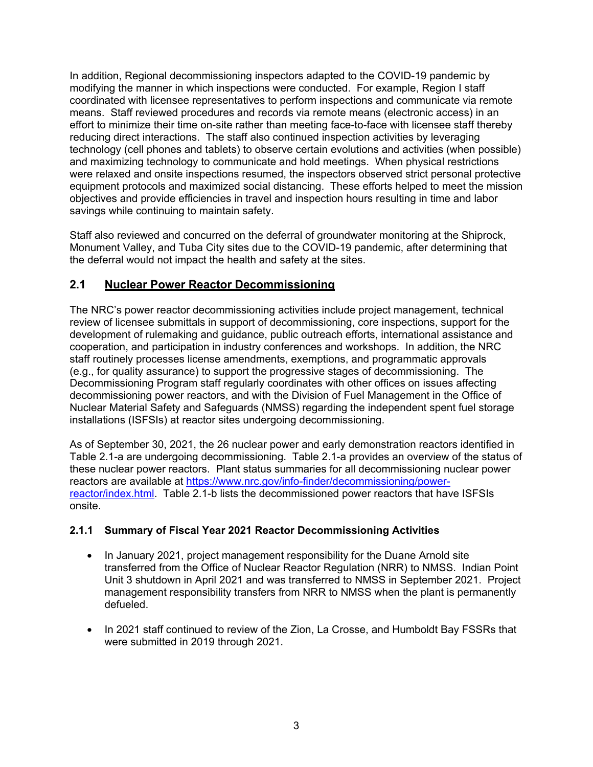In addition, Regional decommissioning inspectors adapted to the COVID-19 pandemic by modifying the manner in which inspections were conducted. For example, Region I staff coordinated with licensee representatives to perform inspections and communicate via remote means. Staff reviewed procedures and records via remote means (electronic access) in an effort to minimize their time on-site rather than meeting face-to-face with licensee staff thereby reducing direct interactions. The staff also continued inspection activities by leveraging technology (cell phones and tablets) to observe certain evolutions and activities (when possible) and maximizing technology to communicate and hold meetings. When physical restrictions were relaxed and onsite inspections resumed, the inspectors observed strict personal protective equipment protocols and maximized social distancing. These efforts helped to meet the mission objectives and provide efficiencies in travel and inspection hours resulting in time and labor savings while continuing to maintain safety.

Staff also reviewed and concurred on the deferral of groundwater monitoring at the Shiprock, Monument Valley, and Tuba City sites due to the COVID-19 pandemic, after determining that the deferral would not impact the health and safety at the sites.

### **2.1 Nuclear Power Reactor Decommissioning**

The NRC's power reactor decommissioning activities include project management, technical review of licensee submittals in support of decommissioning, core inspections, support for the development of rulemaking and guidance, public outreach efforts, international assistance and cooperation, and participation in industry conferences and workshops. In addition, the NRC staff routinely processes license amendments, exemptions, and programmatic approvals (e.g., for quality assurance) to support the progressive stages of decommissioning. The Decommissioning Program staff regularly coordinates with other offices on issues affecting decommissioning power reactors, and with the Division of Fuel Management in the Office of Nuclear Material Safety and Safeguards (NMSS) regarding the independent spent fuel storage installations (ISFSIs) at reactor sites undergoing decommissioning.

As of September 30, 2021, the 26 nuclear power and early demonstration reactors identified in Table 2.1-a are undergoing decommissioning. Table 2.1-a provides an overview of the status of these nuclear power reactors. Plant status summaries for all decommissioning nuclear power reactors are available at https://www.nrc.gov/info-finder/decommissioning/powerreactor/index.html. Table 2.1-b lists the decommissioned power reactors that have ISFSIs onsite.

### **2.1.1 Summary of Fiscal Year 2021 Reactor Decommissioning Activities**

- In January 2021, project management responsibility for the Duane Arnold site transferred from the Office of Nuclear Reactor Regulation (NRR) to NMSS. Indian Point Unit 3 shutdown in April 2021 and was transferred to NMSS in September 2021. Project management responsibility transfers from NRR to NMSS when the plant is permanently defueled.
- In 2021 staff continued to review of the Zion, La Crosse, and Humboldt Bay FSSRs that were submitted in 2019 through 2021.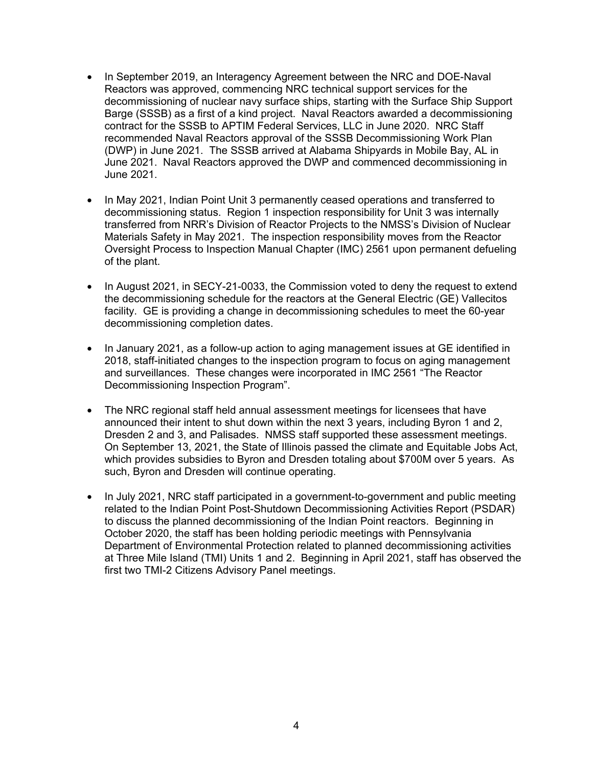- In September 2019, an Interagency Agreement between the NRC and DOE-Naval Reactors was approved, commencing NRC technical support services for the decommissioning of nuclear navy surface ships, starting with the Surface Ship Support Barge (SSSB) as a first of a kind project. Naval Reactors awarded a decommissioning contract for the SSSB to APTIM Federal Services, LLC in June 2020. NRC Staff recommended Naval Reactors approval of the SSSB Decommissioning Work Plan (DWP) in June 2021. The SSSB arrived at Alabama Shipyards in Mobile Bay, AL in June 2021. Naval Reactors approved the DWP and commenced decommissioning in June 2021.
- In May 2021, Indian Point Unit 3 permanently ceased operations and transferred to decommissioning status. Region 1 inspection responsibility for Unit 3 was internally transferred from NRR's Division of Reactor Projects to the NMSS's Division of Nuclear Materials Safety in May 2021. The inspection responsibility moves from the Reactor Oversight Process to Inspection Manual Chapter (IMC) 2561 upon permanent defueling of the plant.
- In August 2021, in SECY-21-0033, the Commission voted to deny the request to extend the decommissioning schedule for the reactors at the General Electric (GE) Vallecitos facility. GE is providing a change in decommissioning schedules to meet the 60-year decommissioning completion dates.
- In January 2021, as a follow-up action to aging management issues at GE identified in 2018, staff-initiated changes to the inspection program to focus on aging management and surveillances. These changes were incorporated in IMC 2561 "The Reactor Decommissioning Inspection Program".
- The NRC regional staff held annual assessment meetings for licensees that have announced their intent to shut down within the next 3 years, including Byron 1 and 2, Dresden 2 and 3, and Palisades. NMSS staff supported these assessment meetings. On September 13, 2021, the State of Illinois passed the climate and Equitable Jobs Act, which provides subsidies to Byron and Dresden totaling about \$700M over 5 years. As such, Byron and Dresden will continue operating.
- In July 2021, NRC staff participated in a government-to-government and public meeting related to the Indian Point Post-Shutdown Decommissioning Activities Report (PSDAR) to discuss the planned decommissioning of the Indian Point reactors. Beginning in October 2020, the staff has been holding periodic meetings with Pennsylvania Department of Environmental Protection related to planned decommissioning activities at Three Mile Island (TMI) Units 1 and 2. Beginning in April 2021, staff has observed the first two TMI-2 Citizens Advisory Panel meetings.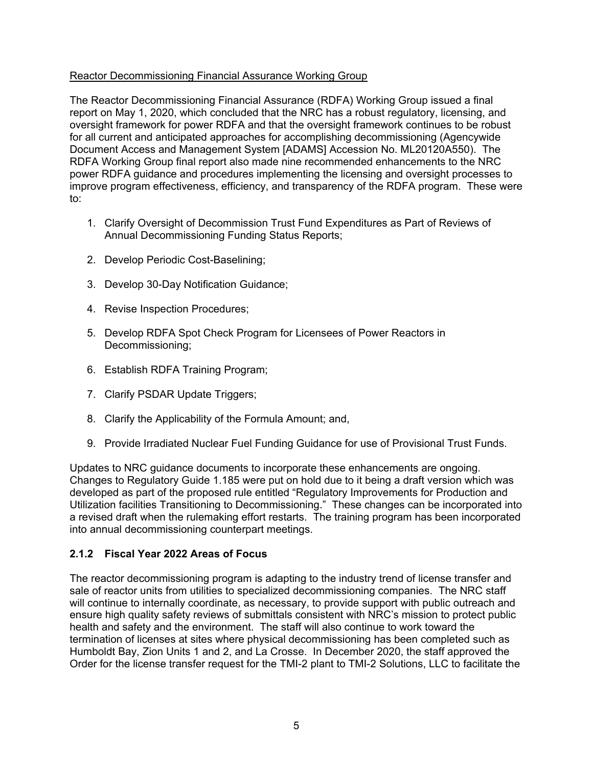#### Reactor Decommissioning Financial Assurance Working Group

The Reactor Decommissioning Financial Assurance (RDFA) Working Group issued a final report on May 1, 2020, which concluded that the NRC has a robust regulatory, licensing, and oversight framework for power RDFA and that the oversight framework continues to be robust for all current and anticipated approaches for accomplishing decommissioning (Agencywide Document Access and Management System [ADAMS] Accession No. ML20120A550). The RDFA Working Group final report also made nine recommended enhancements to the NRC power RDFA guidance and procedures implementing the licensing and oversight processes to improve program effectiveness, efficiency, and transparency of the RDFA program. These were to:

- 1. Clarify Oversight of Decommission Trust Fund Expenditures as Part of Reviews of Annual Decommissioning Funding Status Reports;
- 2. Develop Periodic Cost-Baselining;
- 3. Develop 30-Day Notification Guidance;
- 4. Revise Inspection Procedures;
- 5. Develop RDFA Spot Check Program for Licensees of Power Reactors in Decommissioning;
- 6. Establish RDFA Training Program;
- 7. Clarify PSDAR Update Triggers;
- 8. Clarify the Applicability of the Formula Amount; and,
- 9. Provide Irradiated Nuclear Fuel Funding Guidance for use of Provisional Trust Funds.

Updates to NRC guidance documents to incorporate these enhancements are ongoing. Changes to Regulatory Guide 1.185 were put on hold due to it being a draft version which was developed as part of the proposed rule entitled "Regulatory Improvements for Production and Utilization facilities Transitioning to Decommissioning." These changes can be incorporated into a revised draft when the rulemaking effort restarts. The training program has been incorporated into annual decommissioning counterpart meetings.

### **2.1.2 Fiscal Year 2022 Areas of Focus**

The reactor decommissioning program is adapting to the industry trend of license transfer and sale of reactor units from utilities to specialized decommissioning companies. The NRC staff will continue to internally coordinate, as necessary, to provide support with public outreach and ensure high quality safety reviews of submittals consistent with NRC's mission to protect public health and safety and the environment. The staff will also continue to work toward the termination of licenses at sites where physical decommissioning has been completed such as Humboldt Bay, Zion Units 1 and 2, and La Crosse. In December 2020, the staff approved the Order for the license transfer request for the TMI-2 plant to TMI-2 Solutions, LLC to facilitate the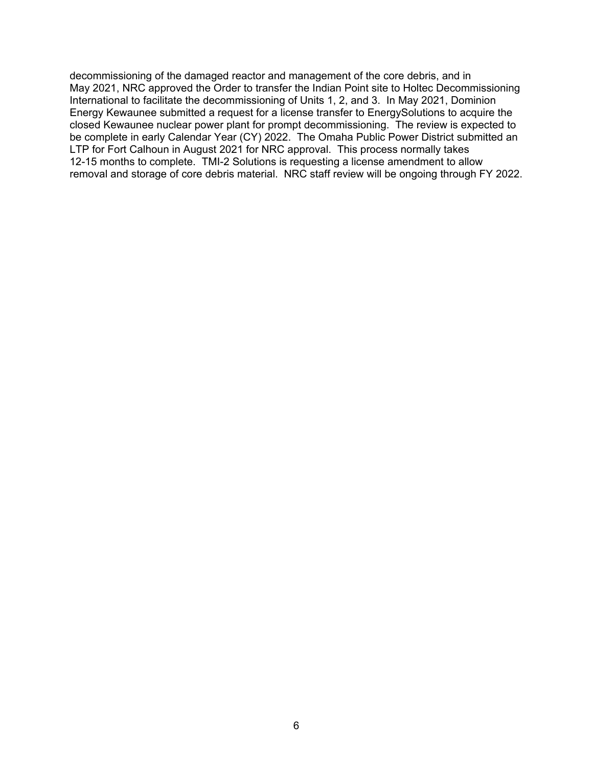decommissioning of the damaged reactor and management of the core debris, and in May 2021, NRC approved the Order to transfer the Indian Point site to Holtec Decommissioning International to facilitate the decommissioning of Units 1, 2, and 3. In May 2021, Dominion Energy Kewaunee submitted a request for a license transfer to EnergySolutions to acquire the closed Kewaunee nuclear power plant for prompt decommissioning. The review is expected to be complete in early Calendar Year (CY) 2022. The Omaha Public Power District submitted an LTP for Fort Calhoun in August 2021 for NRC approval. This process normally takes 12-15 months to complete. TMI-2 Solutions is requesting a license amendment to allow removal and storage of core debris material. NRC staff review will be ongoing through FY 2022.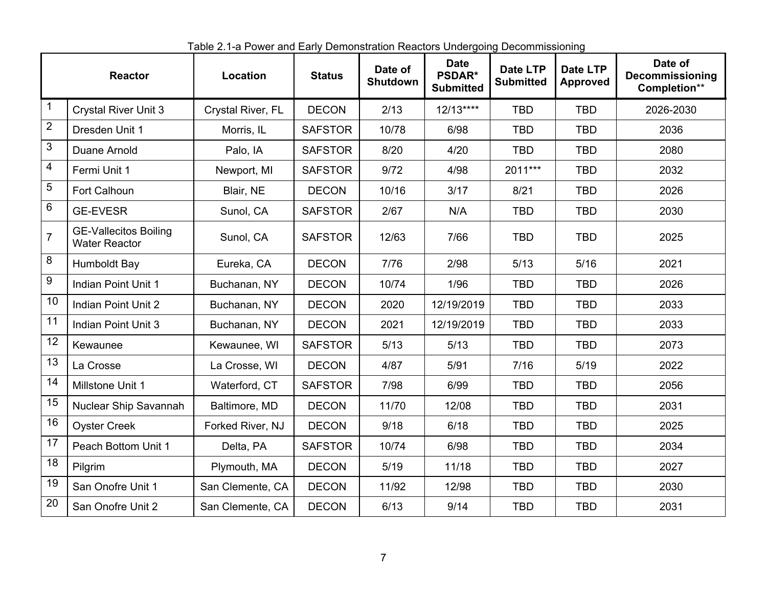|                  | <b>Reactor</b>                                       | Location          | <b>Status</b>  | Date of<br>Shutdown | <b>Date</b><br><b>PSDAR*</b><br><b>Submitted</b> | <b>Date LTP</b><br><b>Submitted</b> | Date LTP<br><b>Approved</b> | Date of<br><b>Decommissioning</b><br>Completion** |
|------------------|------------------------------------------------------|-------------------|----------------|---------------------|--------------------------------------------------|-------------------------------------|-----------------------------|---------------------------------------------------|
| 1                | <b>Crystal River Unit 3</b>                          | Crystal River, FL | <b>DECON</b>   | 2/13                | $12/13***$                                       | <b>TBD</b>                          | <b>TBD</b>                  | 2026-2030                                         |
| $\overline{2}$   | Dresden Unit 1                                       | Morris, IL        | <b>SAFSTOR</b> | 10/78               | 6/98                                             | <b>TBD</b>                          | <b>TBD</b>                  | 2036                                              |
| $\sqrt{3}$       | Duane Arnold                                         | Palo, IA          | <b>SAFSTOR</b> | 8/20                | 4/20                                             | <b>TBD</b>                          | <b>TBD</b>                  | 2080                                              |
| $\overline{4}$   | Fermi Unit 1                                         | Newport, MI       | <b>SAFSTOR</b> | 9/72                | 4/98                                             | 2011***                             | <b>TBD</b>                  | 2032                                              |
| $\mathbf 5$      | Fort Calhoun                                         | Blair, NE         | <b>DECON</b>   | 10/16               | 3/17                                             | 8/21                                | <b>TBD</b>                  | 2026                                              |
| 6                | <b>GE-EVESR</b>                                      | Sunol, CA         | <b>SAFSTOR</b> | 2/67                | N/A                                              | <b>TBD</b>                          | <b>TBD</b>                  | 2030                                              |
| $\overline{7}$   | <b>GE-Vallecitos Boiling</b><br><b>Water Reactor</b> | Sunol, CA         | <b>SAFSTOR</b> | 12/63               | 7/66                                             | <b>TBD</b>                          | <b>TBD</b>                  | 2025                                              |
| 8                | Humboldt Bay                                         | Eureka, CA        | <b>DECON</b>   | 7/76                | 2/98                                             | 5/13                                | 5/16                        | 2021                                              |
| $\boldsymbol{9}$ | <b>Indian Point Unit 1</b>                           | Buchanan, NY      | <b>DECON</b>   | 10/74               | 1/96                                             | <b>TBD</b>                          | <b>TBD</b>                  | 2026                                              |
| 10               | Indian Point Unit 2                                  | Buchanan, NY      | <b>DECON</b>   | 2020                | 12/19/2019                                       | <b>TBD</b>                          | <b>TBD</b>                  | 2033                                              |
| 11               | Indian Point Unit 3                                  | Buchanan, NY      | <b>DECON</b>   | 2021                | 12/19/2019                                       | <b>TBD</b>                          | <b>TBD</b>                  | 2033                                              |
| 12               | Kewaunee                                             | Kewaunee, WI      | <b>SAFSTOR</b> | 5/13                | 5/13                                             | <b>TBD</b>                          | <b>TBD</b>                  | 2073                                              |
| 13               | La Crosse                                            | La Crosse, WI     | <b>DECON</b>   | 4/87                | 5/91                                             | 7/16                                | 5/19                        | 2022                                              |
| 14               | Millstone Unit 1                                     | Waterford, CT     | <b>SAFSTOR</b> | 7/98                | 6/99                                             | <b>TBD</b>                          | <b>TBD</b>                  | 2056                                              |
| 15               | Nuclear Ship Savannah                                | Baltimore, MD     | <b>DECON</b>   | 11/70               | 12/08                                            | <b>TBD</b>                          | <b>TBD</b>                  | 2031                                              |
| 16               | <b>Oyster Creek</b>                                  | Forked River, NJ  | <b>DECON</b>   | 9/18                | 6/18                                             | <b>TBD</b>                          | <b>TBD</b>                  | 2025                                              |
| 17               | Peach Bottom Unit 1                                  | Delta, PA         | <b>SAFSTOR</b> | 10/74               | 6/98                                             | <b>TBD</b>                          | <b>TBD</b>                  | 2034                                              |
| 18               | Pilgrim                                              | Plymouth, MA      | <b>DECON</b>   | 5/19                | 11/18                                            | <b>TBD</b>                          | <b>TBD</b>                  | 2027                                              |
| 19               | San Onofre Unit 1                                    | San Clemente, CA  | <b>DECON</b>   | 11/92               | 12/98                                            | <b>TBD</b>                          | <b>TBD</b>                  | 2030                                              |
| 20               | San Onofre Unit 2                                    | San Clemente, CA  | <b>DECON</b>   | 6/13                | 9/14                                             | <b>TBD</b>                          | <b>TBD</b>                  | 2031                                              |

1Table 2.1-a Power and Early Demonstration Reactors Undergoing Decommissioning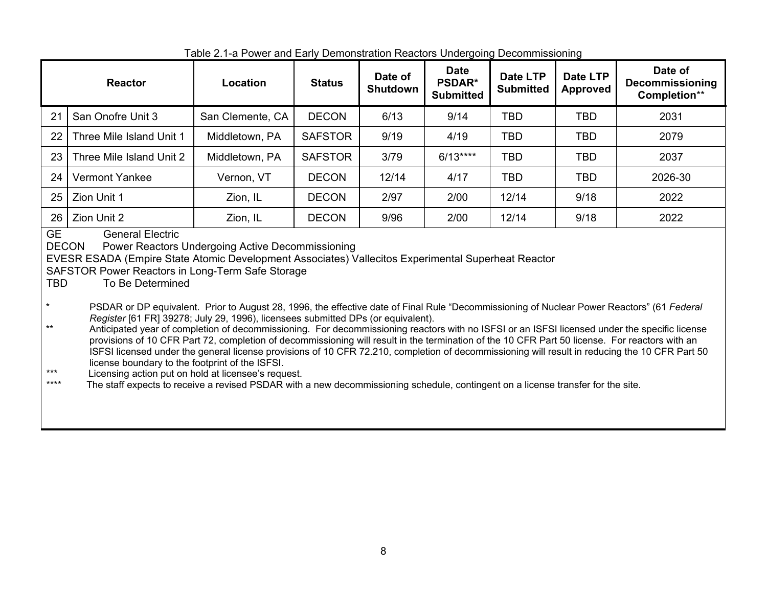|                                    | <b>Reactor</b>                                                                                                                                                                                                                                                                                                                                                                                                                                                                                                                                                                                                                                                                                                                                                                                                                                                                                                                                                                                                                                                                                                                                                                                                                            | Location         | <b>Status</b>  | Date of<br><b>Shutdown</b> | <b>Date</b><br><b>PSDAR*</b><br><b>Submitted</b> | Date LTP<br><b>Submitted</b> | Date LTP<br><b>Approved</b> | Date of<br><b>Decommissioning</b><br>Completion** |
|------------------------------------|-------------------------------------------------------------------------------------------------------------------------------------------------------------------------------------------------------------------------------------------------------------------------------------------------------------------------------------------------------------------------------------------------------------------------------------------------------------------------------------------------------------------------------------------------------------------------------------------------------------------------------------------------------------------------------------------------------------------------------------------------------------------------------------------------------------------------------------------------------------------------------------------------------------------------------------------------------------------------------------------------------------------------------------------------------------------------------------------------------------------------------------------------------------------------------------------------------------------------------------------|------------------|----------------|----------------------------|--------------------------------------------------|------------------------------|-----------------------------|---------------------------------------------------|
| 21                                 | San Onofre Unit 3                                                                                                                                                                                                                                                                                                                                                                                                                                                                                                                                                                                                                                                                                                                                                                                                                                                                                                                                                                                                                                                                                                                                                                                                                         | San Clemente, CA | <b>DECON</b>   | 6/13                       | 9/14                                             | <b>TBD</b>                   | <b>TBD</b>                  | 2031                                              |
| 22                                 | Three Mile Island Unit 1                                                                                                                                                                                                                                                                                                                                                                                                                                                                                                                                                                                                                                                                                                                                                                                                                                                                                                                                                                                                                                                                                                                                                                                                                  | Middletown, PA   | <b>SAFSTOR</b> | 9/19                       | 4/19                                             | <b>TBD</b>                   | <b>TBD</b>                  | 2079                                              |
| 23                                 | Three Mile Island Unit 2                                                                                                                                                                                                                                                                                                                                                                                                                                                                                                                                                                                                                                                                                                                                                                                                                                                                                                                                                                                                                                                                                                                                                                                                                  | Middletown, PA   | <b>SAFSTOR</b> | 3/79                       | $6/13***$                                        | TBD                          | <b>TBD</b>                  | 2037                                              |
| 24                                 | <b>Vermont Yankee</b>                                                                                                                                                                                                                                                                                                                                                                                                                                                                                                                                                                                                                                                                                                                                                                                                                                                                                                                                                                                                                                                                                                                                                                                                                     | Vernon, VT       | <b>DECON</b>   | 12/14                      | 4/17                                             | <b>TBD</b>                   | <b>TBD</b>                  | 2026-30                                           |
| 25                                 | Zion Unit 1                                                                                                                                                                                                                                                                                                                                                                                                                                                                                                                                                                                                                                                                                                                                                                                                                                                                                                                                                                                                                                                                                                                                                                                                                               | Zion, IL         | <b>DECON</b>   | 2/97                       | 2/00                                             | 12/14                        | 9/18                        | 2022                                              |
| 26                                 | Zion Unit 2                                                                                                                                                                                                                                                                                                                                                                                                                                                                                                                                                                                                                                                                                                                                                                                                                                                                                                                                                                                                                                                                                                                                                                                                                               | Zion, IL         | <b>DECON</b>   | 9/96                       | 2/00                                             | 12/14                        | 9/18                        | 2022                                              |
| $\star$<br>$***$<br>$***$<br>$***$ | <b>GE</b><br><b>General Electric</b><br><b>DECON</b><br>Power Reactors Undergoing Active Decommissioning<br>EVESR ESADA (Empire State Atomic Development Associates) Vallecitos Experimental Superheat Reactor<br>SAFSTOR Power Reactors in Long-Term Safe Storage<br><b>TBD</b><br>To Be Determined<br>PSDAR or DP equivalent. Prior to August 28, 1996, the effective date of Final Rule "Decommissioning of Nuclear Power Reactors" (61 Federal<br>Register [61 FR] 39278; July 29, 1996), licensees submitted DPs (or equivalent).<br>Anticipated year of completion of decommissioning. For decommissioning reactors with no ISFSI or an ISFSI licensed under the specific license<br>provisions of 10 CFR Part 72, completion of decommissioning will result in the termination of the 10 CFR Part 50 license. For reactors with an<br>ISFSI licensed under the general license provisions of 10 CFR 72.210, completion of decommissioning will result in reducing the 10 CFR Part 50<br>license boundary to the footprint of the ISFSI.<br>Licensing action put on hold at licensee's request.<br>The staff expects to receive a revised PSDAR with a new decommissioning schedule, contingent on a license transfer for the site. |                  |                |                            |                                                  |                              |                             |                                                   |

Table 2.1-a Power and Early Demonstration Reactors Undergoing Decommissioning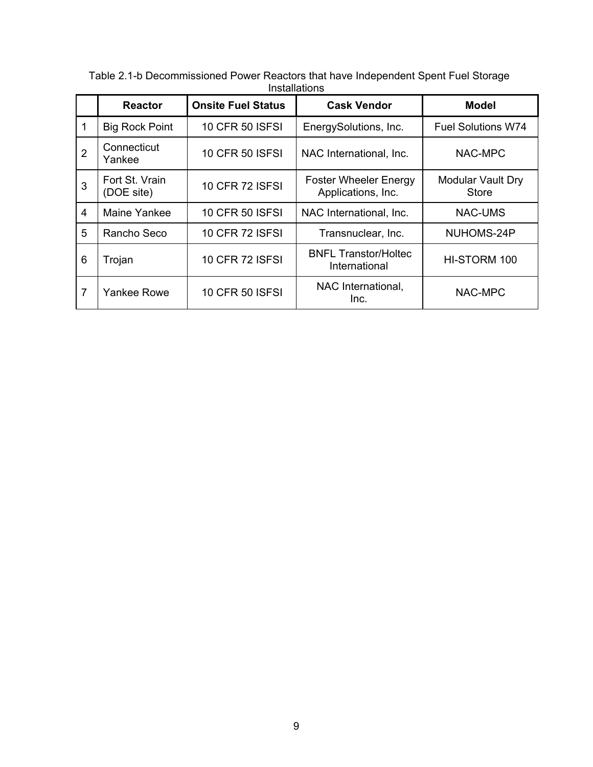|                | <b>Reactor</b>               | <b>Onsite Fuel Status</b> | <b>Cask Vendor</b>                                 | <b>Model</b>                      |
|----------------|------------------------------|---------------------------|----------------------------------------------------|-----------------------------------|
|                | <b>Big Rock Point</b>        | <b>10 CFR 50 ISFSI</b>    | EnergySolutions, Inc.                              | <b>Fuel Solutions W74</b>         |
| $\overline{2}$ | Connecticut<br>Yankee        | <b>10 CFR 50 ISFSI</b>    | NAC International, Inc.                            | NAC-MPC                           |
| 3              | Fort St. Vrain<br>(DOE site) | <b>10 CFR 72 ISFSI</b>    | <b>Foster Wheeler Energy</b><br>Applications, Inc. | Modular Vault Dry<br><b>Store</b> |
| $\overline{4}$ | Maine Yankee                 | <b>10 CFR 50 ISFSI</b>    | NAC International, Inc.                            | NAC-UMS                           |
| 5              | Rancho Seco                  | <b>10 CFR 72 ISFSI</b>    | Transnuclear, Inc.                                 | NUHOMS-24P                        |
| 6              | Trojan                       | <b>10 CFR 72 ISFSI</b>    | <b>BNFL Transtor/Holtec</b><br>International       | HI-STORM 100                      |
| 7              | Yankee Rowe                  | <b>10 CFR 50 ISFSI</b>    | NAC International,<br>Inc.                         | NAC-MPC                           |

2Table 2.1-b Decommissioned Power Reactors that have Independent Spent Fuel Storage Installations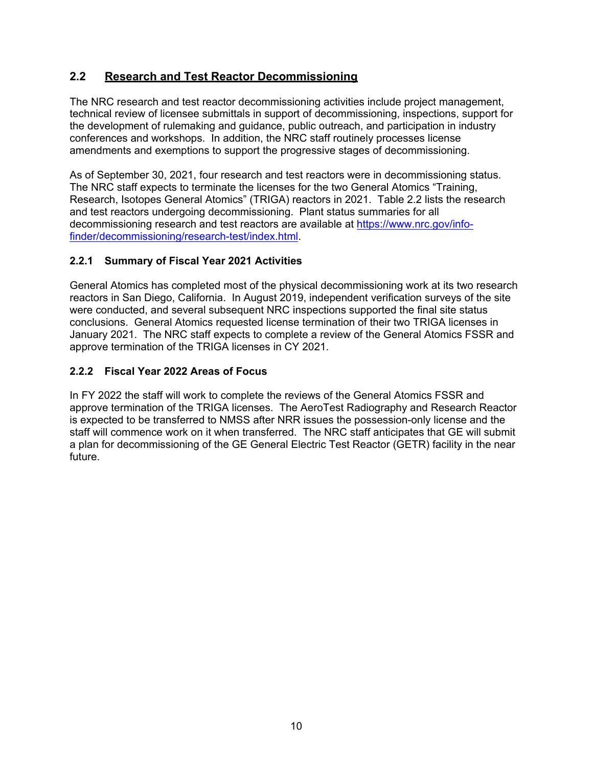# **2.2 Research and Test Reactor Decommissioning**

The NRC research and test reactor decommissioning activities include project management, technical review of licensee submittals in support of decommissioning, inspections, support for the development of rulemaking and guidance, public outreach, and participation in industry conferences and workshops. In addition, the NRC staff routinely processes license amendments and exemptions to support the progressive stages of decommissioning.

As of September 30, 2021, four research and test reactors were in decommissioning status. The NRC staff expects to terminate the licenses for the two General Atomics "Training, Research, Isotopes General Atomics" (TRIGA) reactors in 2021. Table 2.2 lists the research and test reactors undergoing decommissioning. Plant status summaries for all decommissioning research and test reactors are available at https://www.nrc.gov/infofinder/decommissioning/research-test/index.html.

### **2.2.1 Summary of Fiscal Year 2021 Activities**

General Atomics has completed most of the physical decommissioning work at its two research reactors in San Diego, California. In August 2019, independent verification surveys of the site were conducted, and several subsequent NRC inspections supported the final site status conclusions. General Atomics requested license termination of their two TRIGA licenses in January 2021. The NRC staff expects to complete a review of the General Atomics FSSR and approve termination of the TRIGA licenses in CY 2021.

### **2.2.2 Fiscal Year 2022 Areas of Focus**

In FY 2022 the staff will work to complete the reviews of the General Atomics FSSR and approve termination of the TRIGA licenses. The AeroTest Radiography and Research Reactor is expected to be transferred to NMSS after NRR issues the possession-only license and the staff will commence work on it when transferred. The NRC staff anticipates that GE will submit a plan for decommissioning of the GE General Electric Test Reactor (GETR) facility in the near future.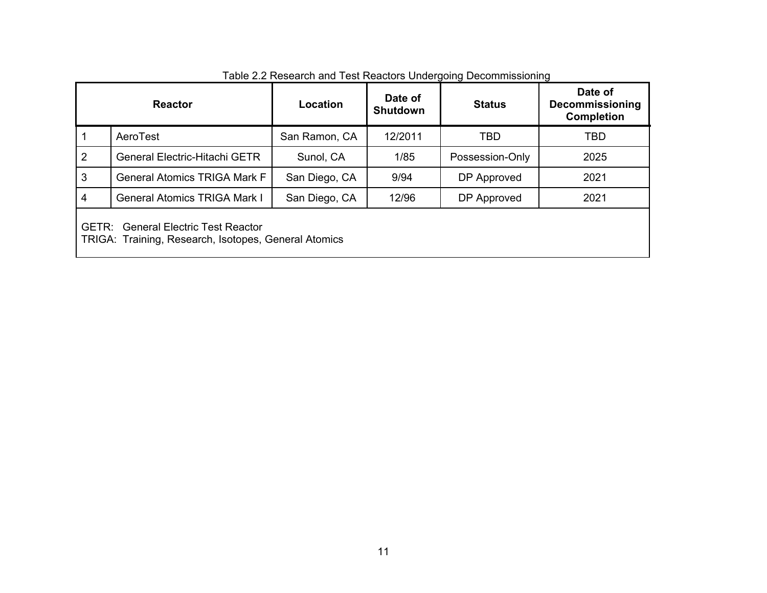| <b>Reactor</b>                                                                                     |                                     | Location      | Date of<br><b>Shutdown</b> | <b>Status</b>   | Date of<br><b>Decommissioning</b><br><b>Completion</b> |  |
|----------------------------------------------------------------------------------------------------|-------------------------------------|---------------|----------------------------|-----------------|--------------------------------------------------------|--|
|                                                                                                    | AeroTest                            | San Ramon, CA | 12/2011                    | TBD             | TBD                                                    |  |
| 2                                                                                                  | General Electric-Hitachi GETR       | Sunol, CA     | 1/85                       | Possession-Only | 2025                                                   |  |
| 3                                                                                                  | <b>General Atomics TRIGA Mark F</b> | San Diego, CA | 9/94                       | DP Approved     | 2021                                                   |  |
| 4<br><b>General Atomics TRIGA Mark I</b>                                                           |                                     | San Diego, CA | 12/96                      | DP Approved     | 2021                                                   |  |
| <b>GETR: General Electric Test Reactor</b><br>TRIGA: Training, Research, Isotopes, General Atomics |                                     |               |                            |                 |                                                        |  |

# 3Table 2.2 Research and Test Reactors Undergoing Decommissioning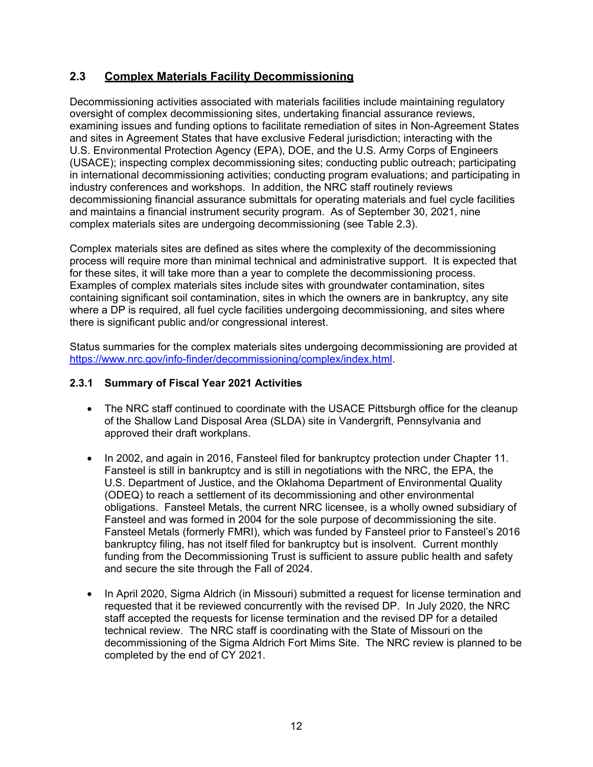### **2.3 Complex Materials Facility Decommissioning**

Decommissioning activities associated with materials facilities include maintaining regulatory oversight of complex decommissioning sites, undertaking financial assurance reviews, examining issues and funding options to facilitate remediation of sites in Non-Agreement States and sites in Agreement States that have exclusive Federal jurisdiction; interacting with the U.S. Environmental Protection Agency (EPA), DOE, and the U.S. Army Corps of Engineers (USACE); inspecting complex decommissioning sites; conducting public outreach; participating in international decommissioning activities; conducting program evaluations; and participating in industry conferences and workshops. In addition, the NRC staff routinely reviews decommissioning financial assurance submittals for operating materials and fuel cycle facilities and maintains a financial instrument security program. As of September 30, 2021, nine complex materials sites are undergoing decommissioning (see Table 2.3).

Complex materials sites are defined as sites where the complexity of the decommissioning process will require more than minimal technical and administrative support. It is expected that for these sites, it will take more than a year to complete the decommissioning process. Examples of complex materials sites include sites with groundwater contamination, sites containing significant soil contamination, sites in which the owners are in bankruptcy, any site where a DP is required, all fuel cycle facilities undergoing decommissioning, and sites where there is significant public and/or congressional interest.

Status summaries for the complex materials sites undergoing decommissioning are provided at https://www.nrc.gov/info-finder/decommissioning/complex/index.html.

#### **2.3.1 Summary of Fiscal Year 2021 Activities**

- The NRC staff continued to coordinate with the USACE Pittsburgh office for the cleanup of the Shallow Land Disposal Area (SLDA) site in Vandergrift, Pennsylvania and approved their draft workplans.
- In 2002, and again in 2016, Fansteel filed for bankruptcy protection under Chapter 11. Fansteel is still in bankruptcy and is still in negotiations with the NRC, the EPA, the U.S. Department of Justice, and the Oklahoma Department of Environmental Quality (ODEQ) to reach a settlement of its decommissioning and other environmental obligations. Fansteel Metals, the current NRC licensee, is a wholly owned subsidiary of Fansteel and was formed in 2004 for the sole purpose of decommissioning the site. Fansteel Metals (formerly FMRI), which was funded by Fansteel prior to Fansteel's 2016 bankruptcy filing, has not itself filed for bankruptcy but is insolvent. Current monthly funding from the Decommissioning Trust is sufficient to assure public health and safety and secure the site through the Fall of 2024.
- In April 2020, Sigma Aldrich (in Missouri) submitted a request for license termination and requested that it be reviewed concurrently with the revised DP. In July 2020, the NRC staff accepted the requests for license termination and the revised DP for a detailed technical review. The NRC staff is coordinating with the State of Missouri on the decommissioning of the Sigma Aldrich Fort Mims Site. The NRC review is planned to be completed by the end of CY 2021.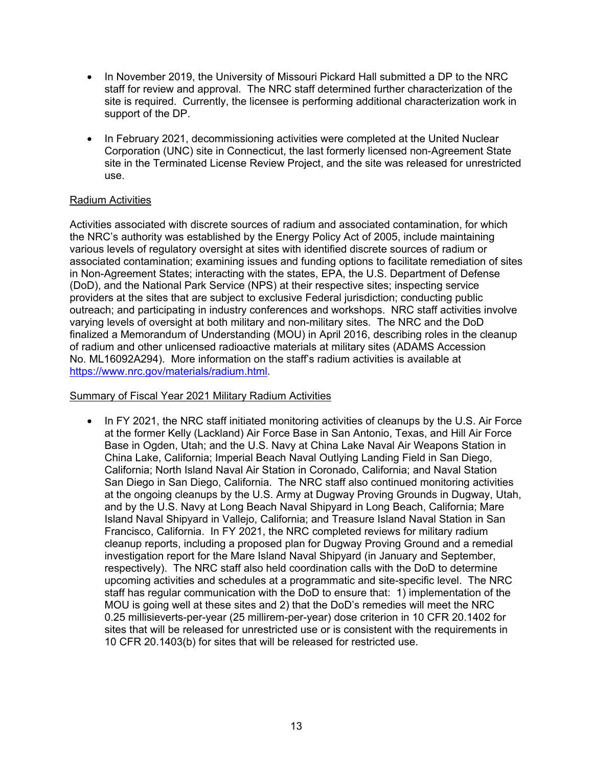- In November 2019, the University of Missouri Pickard Hall submitted a DP to the NRC staff for review and approval. The NRC staff determined further characterization of the site is required. Currently, the licensee is performing additional characterization work in support of the DP.
- In February 2021, decommissioning activities were completed at the United Nuclear Corporation (UNC) site in Connecticut, the last formerly licensed non-Agreement State site in the Terminated License Review Project, and the site was released for unrestricted use.

#### Radium Activities

Activities associated with discrete sources of radium and associated contamination, for which the NRC's authority was established by the Energy Policy Act of 2005, include maintaining various levels of regulatory oversight at sites with identified discrete sources of radium or associated contamination; examining issues and funding options to facilitate remediation of sites in Non-Agreement States; interacting with the states, EPA, the U.S. Department of Defense (DoD), and the National Park Service (NPS) at their respective sites; inspecting service providers at the sites that are subject to exclusive Federal jurisdiction; conducting public outreach; and participating in industry conferences and workshops. NRC staff activities involve varying levels of oversight at both military and non-military sites. The NRC and the DoD finalized a Memorandum of Understanding (MOU) in April 2016, describing roles in the cleanup of radium and other unlicensed radioactive materials at military sites (ADAMS Accession No. ML16092A294). More information on the staff's radium activities is available at https://www.nrc.gov/materials/radium.html.

#### Summary of Fiscal Year 2021 Military Radium Activities

• In FY 2021, the NRC staff initiated monitoring activities of cleanups by the U.S. Air Force at the former Kelly (Lackland) Air Force Base in San Antonio, Texas, and Hill Air Force Base in Ogden, Utah; and the U.S. Navy at China Lake Naval Air Weapons Station in China Lake, California; Imperial Beach Naval Outlying Landing Field in San Diego, California; North Island Naval Air Station in Coronado, California; and Naval Station San Diego in San Diego, California. The NRC staff also continued monitoring activities at the ongoing cleanups by the U.S. Army at Dugway Proving Grounds in Dugway, Utah, and by the U.S. Navy at Long Beach Naval Shipyard in Long Beach, California; Mare Island Naval Shipyard in Vallejo, California; and Treasure Island Naval Station in San Francisco, California. In FY 2021, the NRC completed reviews for military radium cleanup reports, including a proposed plan for Dugway Proving Ground and a remedial investigation report for the Mare Island Naval Shipyard (in January and September, respectively). The NRC staff also held coordination calls with the DoD to determine upcoming activities and schedules at a programmatic and site-specific level. The NRC staff has regular communication with the DoD to ensure that: 1) implementation of the MOU is going well at these sites and 2) that the DoD's remedies will meet the NRC 0.25 millisieverts-per-year (25 millirem-per-year) dose criterion in 10 CFR 20.1402 for sites that will be released for unrestricted use or is consistent with the requirements in 10 CFR 20.1403(b) for sites that will be released for restricted use.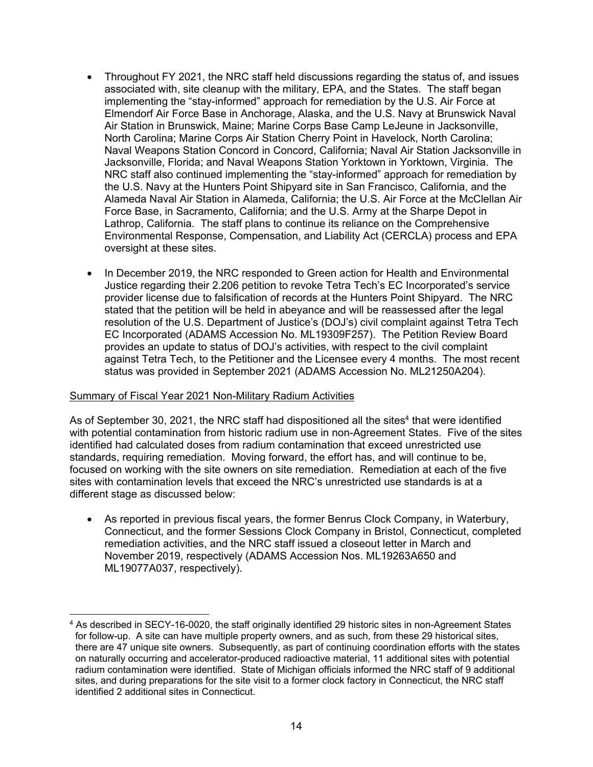- Throughout FY 2021, the NRC staff held discussions regarding the status of, and issues associated with, site cleanup with the military, EPA, and the States. The staff began implementing the "stay-informed" approach for remediation by the U.S. Air Force at Elmendorf Air Force Base in Anchorage, Alaska, and the U.S. Navy at Brunswick Naval Air Station in Brunswick, Maine; Marine Corps Base Camp LeJeune in Jacksonville, North Carolina; Marine Corps Air Station Cherry Point in Havelock, North Carolina; Naval Weapons Station Concord in Concord, California; Naval Air Station Jacksonville in Jacksonville, Florida; and Naval Weapons Station Yorktown in Yorktown, Virginia. The NRC staff also continued implementing the "stay-informed" approach for remediation by the U.S. Navy at the Hunters Point Shipyard site in San Francisco, California, and the Alameda Naval Air Station in Alameda, California; the U.S. Air Force at the McClellan Air Force Base, in Sacramento, California; and the U.S. Army at the Sharpe Depot in Lathrop, California. The staff plans to continue its reliance on the Comprehensive Environmental Response, Compensation, and Liability Act (CERCLA) process and EPA oversight at these sites.
- In December 2019, the NRC responded to Green action for Health and Environmental Justice regarding their 2.206 petition to revoke Tetra Tech's EC Incorporated's service provider license due to falsification of records at the Hunters Point Shipyard. The NRC stated that the petition will be held in abeyance and will be reassessed after the legal resolution of the U.S. Department of Justice's (DOJ's) civil complaint against Tetra Tech EC Incorporated (ADAMS Accession No. ML19309F257). The Petition Review Board provides an update to status of DOJ's activities, with respect to the civil complaint against Tetra Tech, to the Petitioner and the Licensee every 4 months. The most recent status was provided in September 2021 (ADAMS Accession No. ML21250A204).

#### Summary of Fiscal Year 2021 Non-Military Radium Activities

-

As of September 30, 2021, the NRC staff had dispositioned all the sites<sup>4</sup> that were identified with potential contamination from historic radium use in non-Agreement States. Five of the sites identified had calculated doses from radium contamination that exceed unrestricted use standards, requiring remediation. Moving forward, the effort has, and will continue to be, focused on working with the site owners on site remediation. Remediation at each of the five sites with contamination levels that exceed the NRC's unrestricted use standards is at a different stage as discussed below:

• As reported in previous fiscal years, the former Benrus Clock Company, in Waterbury, Connecticut, and the former Sessions Clock Company in Bristol, Connecticut, completed remediation activities, and the NRC staff issued a closeout letter in March and November 2019, respectively (ADAMS Accession Nos. ML19263A650 and ML19077A037, respectively).

<sup>4</sup> As described in SECY-16-0020, the staff originally identified 29 historic sites in non-Agreement States for follow-up. A site can have multiple property owners, and as such, from these 29 historical sites, there are 47 unique site owners. Subsequently, as part of continuing coordination efforts with the states on naturally occurring and accelerator-produced radioactive material, 11 additional sites with potential radium contamination were identified. State of Michigan officials informed the NRC staff of 9 additional sites, and during preparations for the site visit to a former clock factory in Connecticut, the NRC staff identified 2 additional sites in Connecticut.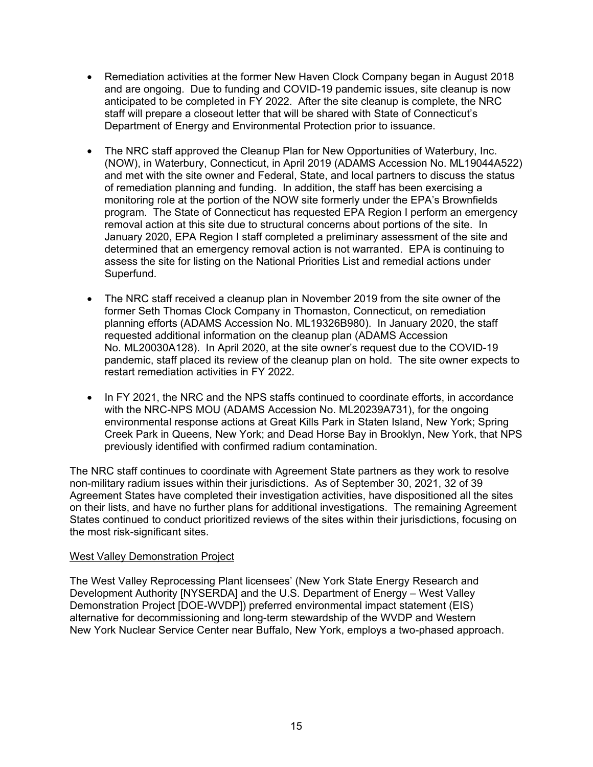- Remediation activities at the former New Haven Clock Company began in August 2018 and are ongoing. Due to funding and COVID-19 pandemic issues, site cleanup is now anticipated to be completed in FY 2022. After the site cleanup is complete, the NRC staff will prepare a closeout letter that will be shared with State of Connecticut's Department of Energy and Environmental Protection prior to issuance.
- The NRC staff approved the Cleanup Plan for New Opportunities of Waterbury, Inc. (NOW), in Waterbury, Connecticut, in April 2019 (ADAMS Accession No. ML19044A522) and met with the site owner and Federal, State, and local partners to discuss the status of remediation planning and funding. In addition, the staff has been exercising a monitoring role at the portion of the NOW site formerly under the EPA's Brownfields program. The State of Connecticut has requested EPA Region I perform an emergency removal action at this site due to structural concerns about portions of the site. In January 2020, EPA Region I staff completed a preliminary assessment of the site and determined that an emergency removal action is not warranted. EPA is continuing to assess the site for listing on the National Priorities List and remedial actions under Superfund.
- The NRC staff received a cleanup plan in November 2019 from the site owner of the former Seth Thomas Clock Company in Thomaston, Connecticut, on remediation planning efforts (ADAMS Accession No. ML19326B980). In January 2020, the staff requested additional information on the cleanup plan (ADAMS Accession No. ML20030A128). In April 2020, at the site owner's request due to the COVID-19 pandemic, staff placed its review of the cleanup plan on hold. The site owner expects to restart remediation activities in FY 2022.
- In FY 2021, the NRC and the NPS staffs continued to coordinate efforts, in accordance with the NRC-NPS MOU (ADAMS Accession No. ML20239A731), for the ongoing environmental response actions at Great Kills Park in Staten Island, New York; Spring Creek Park in Queens, New York; and Dead Horse Bay in Brooklyn, New York, that NPS previously identified with confirmed radium contamination.

The NRC staff continues to coordinate with Agreement State partners as they work to resolve non-military radium issues within their jurisdictions. As of September 30, 2021, 32 of 39 Agreement States have completed their investigation activities, have dispositioned all the sites on their lists, and have no further plans for additional investigations. The remaining Agreement States continued to conduct prioritized reviews of the sites within their jurisdictions, focusing on the most risk-significant sites.

#### West Valley Demonstration Project

The West Valley Reprocessing Plant licensees' (New York State Energy Research and Development Authority [NYSERDA] and the U.S. Department of Energy – West Valley Demonstration Project [DOE-WVDP]) preferred environmental impact statement (EIS) alternative for decommissioning and long-term stewardship of the WVDP and Western New York Nuclear Service Center near Buffalo, New York, employs a two-phased approach.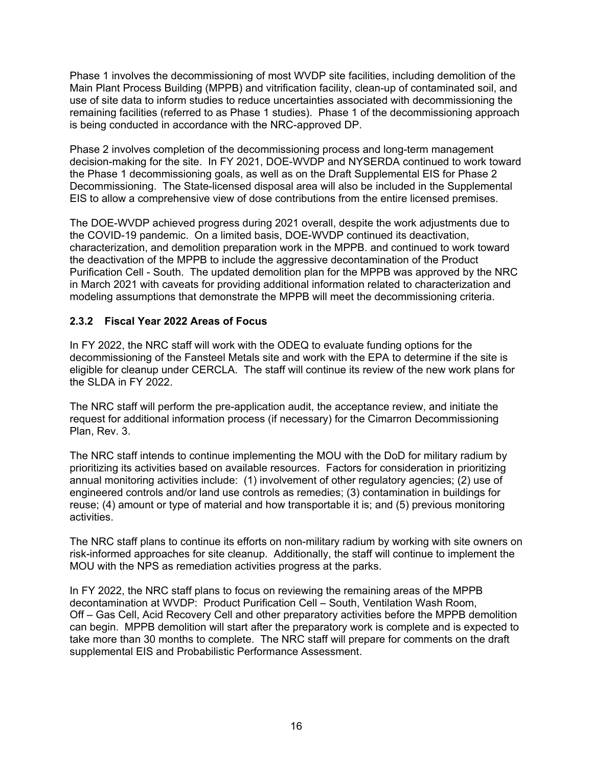Phase 1 involves the decommissioning of most WVDP site facilities, including demolition of the Main Plant Process Building (MPPB) and vitrification facility, clean-up of contaminated soil, and use of site data to inform studies to reduce uncertainties associated with decommissioning the remaining facilities (referred to as Phase 1 studies). Phase 1 of the decommissioning approach is being conducted in accordance with the NRC-approved DP.

Phase 2 involves completion of the decommissioning process and long-term management decision-making for the site. In FY 2021, DOE-WVDP and NYSERDA continued to work toward the Phase 1 decommissioning goals, as well as on the Draft Supplemental EIS for Phase 2 Decommissioning. The State-licensed disposal area will also be included in the Supplemental EIS to allow a comprehensive view of dose contributions from the entire licensed premises.

The DOE-WVDP achieved progress during 2021 overall, despite the work adjustments due to the COVID-19 pandemic. On a limited basis, DOE-WVDP continued its deactivation, characterization, and demolition preparation work in the MPPB. and continued to work toward the deactivation of the MPPB to include the aggressive decontamination of the Product Purification Cell - South. The updated demolition plan for the MPPB was approved by the NRC in March 2021 with caveats for providing additional information related to characterization and modeling assumptions that demonstrate the MPPB will meet the decommissioning criteria.

#### **2.3.2 Fiscal Year 2022 Areas of Focus**

In FY 2022, the NRC staff will work with the ODEQ to evaluate funding options for the decommissioning of the Fansteel Metals site and work with the EPA to determine if the site is eligible for cleanup under CERCLA. The staff will continue its review of the new work plans for the SLDA in FY 2022.

The NRC staff will perform the pre-application audit, the acceptance review, and initiate the request for additional information process (if necessary) for the Cimarron Decommissioning Plan, Rev. 3.

The NRC staff intends to continue implementing the MOU with the DoD for military radium by prioritizing its activities based on available resources. Factors for consideration in prioritizing annual monitoring activities include: (1) involvement of other regulatory agencies; (2) use of engineered controls and/or land use controls as remedies; (3) contamination in buildings for reuse; (4) amount or type of material and how transportable it is; and (5) previous monitoring activities.

The NRC staff plans to continue its efforts on non-military radium by working with site owners on risk-informed approaches for site cleanup. Additionally, the staff will continue to implement the MOU with the NPS as remediation activities progress at the parks.

In FY 2022, the NRC staff plans to focus on reviewing the remaining areas of the MPPB decontamination at WVDP: Product Purification Cell – South, Ventilation Wash Room, Off – Gas Cell, Acid Recovery Cell and other preparatory activities before the MPPB demolition can begin. MPPB demolition will start after the preparatory work is complete and is expected to take more than 30 months to complete. The NRC staff will prepare for comments on the draft supplemental EIS and Probabilistic Performance Assessment.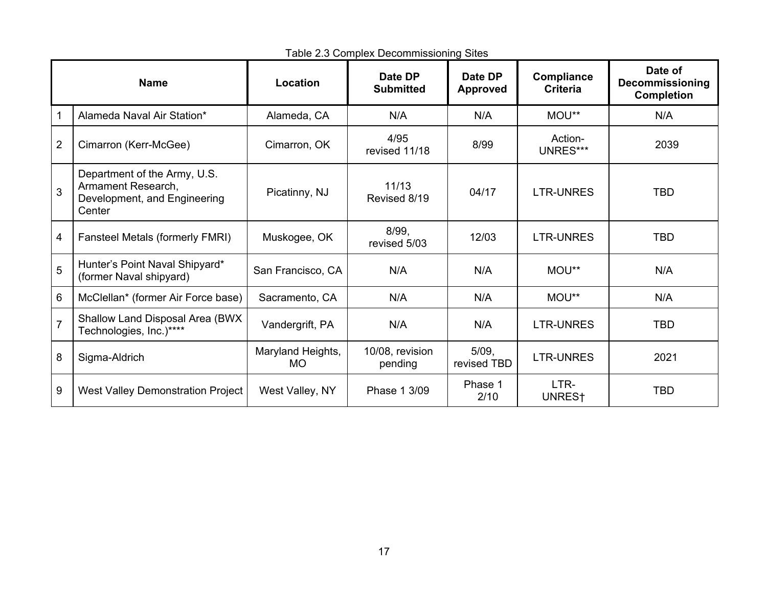| <b>Name</b>     |                                                                                              | Location                       | Date DP<br><b>Submitted</b> | Date DP<br><b>Approved</b> | <b>Compliance</b><br><b>Criteria</b> | Date of<br><b>Decommissioning</b><br><b>Completion</b> |
|-----------------|----------------------------------------------------------------------------------------------|--------------------------------|-----------------------------|----------------------------|--------------------------------------|--------------------------------------------------------|
|                 | Alameda Naval Air Station*                                                                   | Alameda, CA                    | N/A                         | N/A                        | MOU**                                | N/A                                                    |
| $\overline{2}$  | Cimarron (Kerr-McGee)                                                                        | Cimarron, OK                   | 4/95<br>revised 11/18       | 8/99                       | Action-<br>UNRES***                  | 2039                                                   |
| 3               | Department of the Army, U.S.<br>Armament Research,<br>Development, and Engineering<br>Center | Picatinny, NJ                  | 11/13<br>Revised 8/19       | 04/17                      | <b>LTR-UNRES</b>                     | <b>TBD</b>                                             |
| 4               | Fansteel Metals (formerly FMRI)                                                              | Muskogee, OK                   | 8/99.<br>revised 5/03       | 12/03                      | <b>LTR-UNRES</b>                     | <b>TBD</b>                                             |
| 5               | Hunter's Point Naval Shipyard*<br>(former Naval shipyard)                                    | San Francisco, CA              | N/A                         | N/A                        | MOU**                                | N/A                                                    |
| $6\phantom{1}6$ | McClellan* (former Air Force base)                                                           | Sacramento, CA                 | N/A                         | N/A                        | MOU**                                | N/A                                                    |
| $\overline{7}$  | Shallow Land Disposal Area (BWX<br>Technologies, Inc.)****                                   | Vandergrift, PA                | N/A                         | N/A                        | <b>LTR-UNRES</b>                     | <b>TBD</b>                                             |
| 8               | Sigma-Aldrich                                                                                | Maryland Heights,<br><b>MO</b> | 10/08, revision<br>pending  | $5/09$ ,<br>revised TBD    | <b>LTR-UNRES</b>                     | 2021                                                   |
| 9               | <b>West Valley Demonstration Project</b>                                                     | West Valley, NY                | Phase 1 3/09                | Phase 1<br>2/10            | LTR-<br>UNRES <sup>+</sup>           | <b>TBD</b>                                             |

4Table 2.3 Complex Decommissioning Sites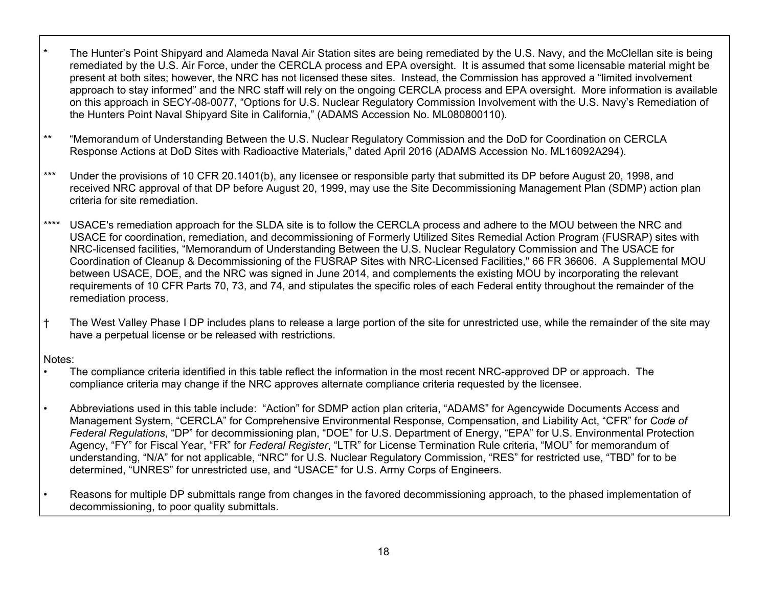- The Hunter's Point Shipyard and Alameda Naval Air Station sites are being remediated by the U.S. Navy, and the McClellan site is being remediated by the U.S. Air Force, under the CERCLA process and EPA oversight. It is assumed that some licensable material might be present at both sites; however, the NRC has not licensed these sites. Instead, the Commission has approved a "limited involvement approach to stay informed" and the NRC staff will rely on the ongoing CERCLA process and EPA oversight. More information is available on this approach in SECY-08-0077, "Options for U.S. Nuclear Regulatory Commission Involvement with the U.S. Navy's Remediation of the Hunters Point Naval Shipyard Site in California," (ADAMS Accession No. ML080800110).
- \*\* "Memorandum of Understanding Between the U.S. Nuclear Regulatory Commission and the DoD for Coordination on CERCLA Response Actions at DoD Sites with Radioactive Materials," dated April 2016 (ADAMS Accession No. ML16092A294).
- \*\*\* Under the provisions of 10 CFR 20.1401(b), any licensee or responsible party that submitted its DP before August 20, 1998, and received NRC approval of that DP before August 20, 1999, may use the Site Decommissioning Management Plan (SDMP) action plan criteria for site remediation.
- \*\*\*\* USACE's remediation approach for the SLDA site is to follow the CERCLA process and adhere to the MOU between the NRC and USACE for coordination, remediation, and decommissioning of Formerly Utilized Sites Remedial Action Program (FUSRAP) sites with NRC-licensed facilities, "Memorandum of Understanding Between the U.S. Nuclear Regulatory Commission and The USACE for Coordination of Cleanup & Decommissioning of the FUSRAP Sites with NRC-Licensed Facilities," 66 FR 36606. A Supplemental MOU between USACE, DOE, and the NRC was signed in June 2014, and complements the existing MOU by incorporating the relevant requirements of 10 CFR Parts 70, 73, and 74, and stipulates the specific roles of each Federal entity throughout the remainder of the remediation process.
- † The West Valley Phase I DP includes plans to release a large portion of the site for unrestricted use, while the remainder of the site may have a perpetual license or be released with restrictions.

#### Notes:

- The compliance criteria identified in this table reflect the information in the most recent NRC-approved DP or approach. The compliance criteria may change if the NRC approves alternate compliance criteria requested by the licensee.
- Abbreviations used in this table include: "Action" for SDMP action plan criteria, "ADAMS" for Agencywide Documents Access and Management System, "CERCLA" for Comprehensive Environmental Response, Compensation, and Liability Act, "CFR" for *Code of Federal Regulations*, "DP" for decommissioning plan, "DOE" for U.S. Department of Energy, "EPA" for U.S. Environmental Protection Agency, "FY" for Fiscal Year, "FR" for *Federal Register*, "LTR" for License Termination Rule criteria, "MOU" for memorandum of understanding, "N/A" for not applicable, "NRC" for U.S. Nuclear Regulatory Commission, "RES" for restricted use, "TBD" for to be determined, "UNRES" for unrestricted use, and "USACE" for U.S. Army Corps of Engineers.
- Reasons for multiple DP submittals range from changes in the favored decommissioning approach, to the phased implementation of decommissioning, to poor quality submittals.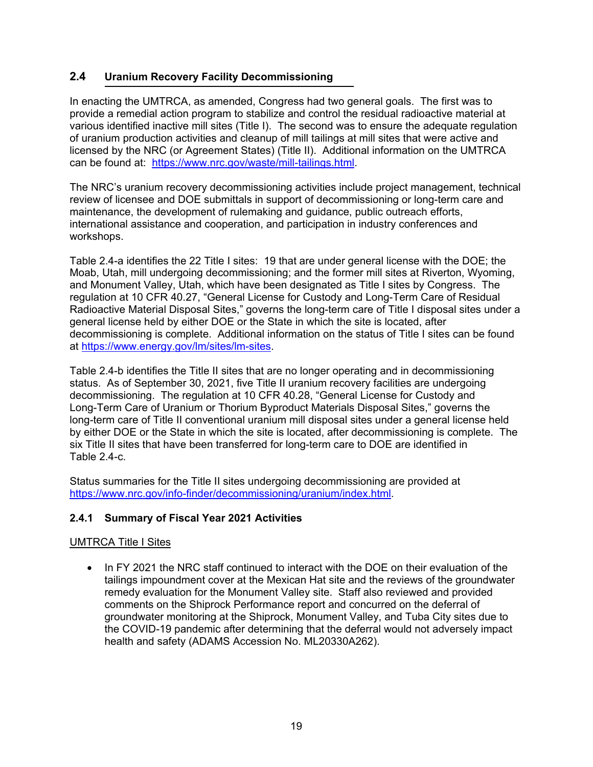### **2.4 Uranium Recovery Facility Decommissioning**

In enacting the UMTRCA, as amended, Congress had two general goals. The first was to provide a remedial action program to stabilize and control the residual radioactive material at various identified inactive mill sites (Title I). The second was to ensure the adequate regulation of uranium production activities and cleanup of mill tailings at mill sites that were active and licensed by the NRC (or Agreement States) (Title II). Additional information on the UMTRCA can be found at: https://www.nrc.gov/waste/mill-tailings.html.

The NRC's uranium recovery decommissioning activities include project management, technical review of licensee and DOE submittals in support of decommissioning or long-term care and maintenance, the development of rulemaking and guidance, public outreach efforts, international assistance and cooperation, and participation in industry conferences and workshops.

Table 2.4-a identifies the 22 Title I sites: 19 that are under general license with the DOE; the Moab, Utah, mill undergoing decommissioning; and the former mill sites at Riverton, Wyoming, and Monument Valley, Utah, which have been designated as Title I sites by Congress. The regulation at 10 CFR 40.27, "General License for Custody and Long-Term Care of Residual Radioactive Material Disposal Sites," governs the long-term care of Title I disposal sites under a general license held by either DOE or the State in which the site is located, after decommissioning is complete. Additional information on the status of Title I sites can be found at https://www.energy.gov/lm/sites/lm-sites.

Table 2.4-b identifies the Title II sites that are no longer operating and in decommissioning status. As of September 30, 2021, five Title II uranium recovery facilities are undergoing decommissioning. The regulation at 10 CFR 40.28, "General License for Custody and Long-Term Care of Uranium or Thorium Byproduct Materials Disposal Sites," governs the long-term care of Title II conventional uranium mill disposal sites under a general license held by either DOE or the State in which the site is located, after decommissioning is complete. The six Title II sites that have been transferred for long-term care to DOE are identified in Table 2.4-c.

Status summaries for the Title II sites undergoing decommissioning are provided at https://www.nrc.gov/info-finder/decommissioning/uranium/index.html.

### **2.4.1 Summary of Fiscal Year 2021 Activities**

#### UMTRCA Title I Sites

• In FY 2021 the NRC staff continued to interact with the DOE on their evaluation of the tailings impoundment cover at the Mexican Hat site and the reviews of the groundwater remedy evaluation for the Monument Valley site. Staff also reviewed and provided comments on the Shiprock Performance report and concurred on the deferral of groundwater monitoring at the Shiprock, Monument Valley, and Tuba City sites due to the COVID-19 pandemic after determining that the deferral would not adversely impact health and safety (ADAMS Accession No. ML20330A262).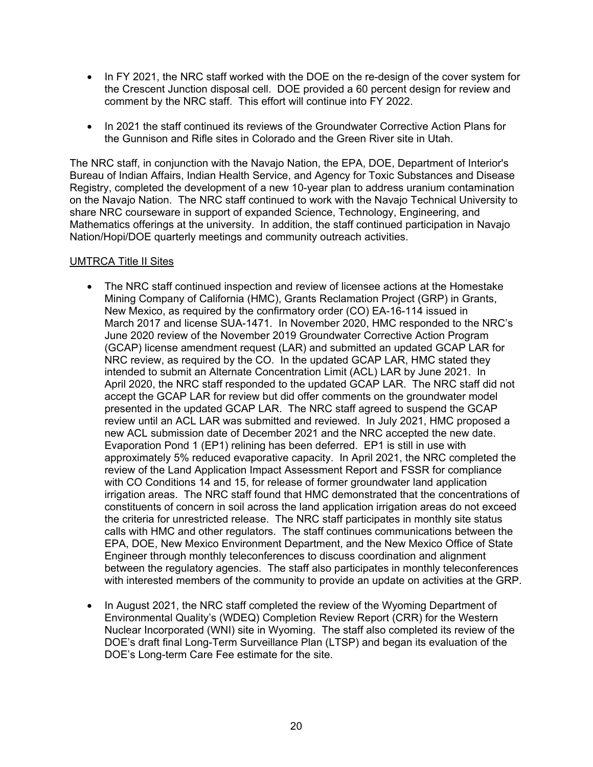- In FY 2021, the NRC staff worked with the DOE on the re-design of the cover system for the Crescent Junction disposal cell. DOE provided a 60 percent design for review and comment by the NRC staff. This effort will continue into FY 2022.
- In 2021 the staff continued its reviews of the Groundwater Corrective Action Plans for the Gunnison and Rifle sites in Colorado and the Green River site in Utah.

The NRC staff, in conjunction with the Navajo Nation, the EPA, DOE, Department of Interior's Bureau of Indian Affairs, Indian Health Service, and Agency for Toxic Substances and Disease Registry, completed the development of a new 10-year plan to address uranium contamination on the Navajo Nation. The NRC staff continued to work with the Navajo Technical University to share NRC courseware in support of expanded Science, Technology, Engineering, and Mathematics offerings at the university. In addition, the staff continued participation in Navajo Nation/Hopi/DOE quarterly meetings and community outreach activities.

#### UMTRCA Title II Sites

- The NRC staff continued inspection and review of licensee actions at the Homestake Mining Company of California (HMC), Grants Reclamation Project (GRP) in Grants, New Mexico, as required by the confirmatory order (CO) EA-16-114 issued in March 2017 and license SUA-1471. In November 2020, HMC responded to the NRC's June 2020 review of the November 2019 Groundwater Corrective Action Program (GCAP) license amendment request (LAR) and submitted an updated GCAP LAR for NRC review, as required by the CO. In the updated GCAP LAR, HMC stated they intended to submit an Alternate Concentration Limit (ACL) LAR by June 2021. In April 2020, the NRC staff responded to the updated GCAP LAR. The NRC staff did not accept the GCAP LAR for review but did offer comments on the groundwater model presented in the updated GCAP LAR. The NRC staff agreed to suspend the GCAP review until an ACL LAR was submitted and reviewed. In July 2021, HMC proposed a new ACL submission date of December 2021 and the NRC accepted the new date. Evaporation Pond 1 (EP1) relining has been deferred. EP1 is still in use with approximately 5% reduced evaporative capacity. In April 2021, the NRC completed the review of the Land Application Impact Assessment Report and FSSR for compliance with CO Conditions 14 and 15, for release of former groundwater land application irrigation areas. The NRC staff found that HMC demonstrated that the concentrations of constituents of concern in soil across the land application irrigation areas do not exceed the criteria for unrestricted release. The NRC staff participates in monthly site status calls with HMC and other regulators. The staff continues communications between the EPA, DOE, New Mexico Environment Department, and the New Mexico Office of State Engineer through monthly teleconferences to discuss coordination and alignment between the regulatory agencies. The staff also participates in monthly teleconferences with interested members of the community to provide an update on activities at the GRP.
- In August 2021, the NRC staff completed the review of the Wyoming Department of Environmental Quality's (WDEQ) Completion Review Report (CRR) for the Western Nuclear Incorporated (WNI) site in Wyoming. The staff also completed its review of the DOE's draft final Long-Term Surveillance Plan (LTSP) and began its evaluation of the DOE's Long-term Care Fee estimate for the site.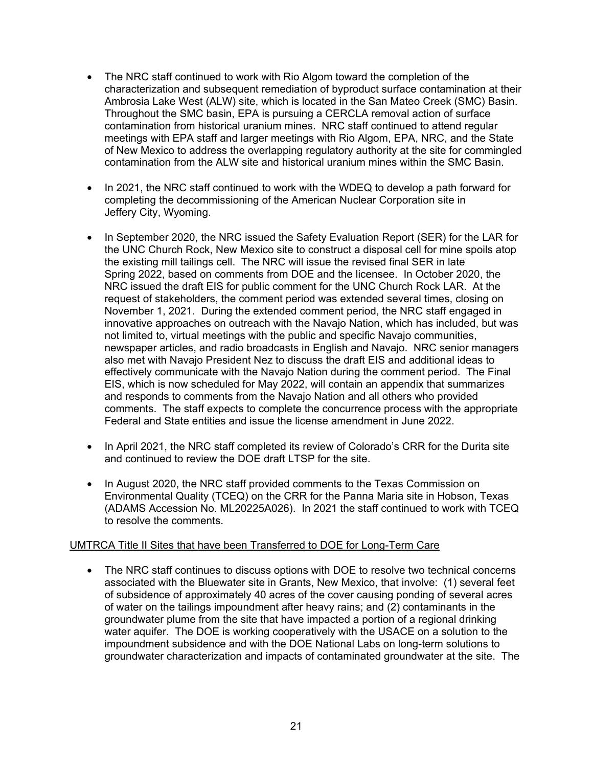- The NRC staff continued to work with Rio Algom toward the completion of the characterization and subsequent remediation of byproduct surface contamination at their Ambrosia Lake West (ALW) site, which is located in the San Mateo Creek (SMC) Basin. Throughout the SMC basin, EPA is pursuing a CERCLA removal action of surface contamination from historical uranium mines. NRC staff continued to attend regular meetings with EPA staff and larger meetings with Rio Algom, EPA, NRC, and the State of New Mexico to address the overlapping regulatory authority at the site for commingled contamination from the ALW site and historical uranium mines within the SMC Basin.
- In 2021, the NRC staff continued to work with the WDEQ to develop a path forward for completing the decommissioning of the American Nuclear Corporation site in Jeffery City, Wyoming.
- In September 2020, the NRC issued the Safety Evaluation Report (SER) for the LAR for the UNC Church Rock, New Mexico site to construct a disposal cell for mine spoils atop the existing mill tailings cell. The NRC will issue the revised final SER in late Spring 2022, based on comments from DOE and the licensee. In October 2020, the NRC issued the draft EIS for public comment for the UNC Church Rock LAR. At the request of stakeholders, the comment period was extended several times, closing on November 1, 2021. During the extended comment period, the NRC staff engaged in innovative approaches on outreach with the Navajo Nation, which has included, but was not limited to, virtual meetings with the public and specific Navajo communities, newspaper articles, and radio broadcasts in English and Navajo. NRC senior managers also met with Navajo President Nez to discuss the draft EIS and additional ideas to effectively communicate with the Navajo Nation during the comment period. The Final EIS, which is now scheduled for May 2022, will contain an appendix that summarizes and responds to comments from the Navajo Nation and all others who provided comments. The staff expects to complete the concurrence process with the appropriate Federal and State entities and issue the license amendment in June 2022.
- In April 2021, the NRC staff completed its review of Colorado's CRR for the Durita site and continued to review the DOE draft LTSP for the site.
- In August 2020, the NRC staff provided comments to the Texas Commission on Environmental Quality (TCEQ) on the CRR for the Panna Maria site in Hobson, Texas (ADAMS Accession No. ML20225A026). In 2021 the staff continued to work with TCEQ to resolve the comments.

#### UMTRCA Title II Sites that have been Transferred to DOE for Long-Term Care

The NRC staff continues to discuss options with DOE to resolve two technical concerns associated with the Bluewater site in Grants, New Mexico, that involve: (1) several feet of subsidence of approximately 40 acres of the cover causing ponding of several acres of water on the tailings impoundment after heavy rains; and (2) contaminants in the groundwater plume from the site that have impacted a portion of a regional drinking water aquifer. The DOE is working cooperatively with the USACE on a solution to the impoundment subsidence and with the DOE National Labs on long-term solutions to groundwater characterization and impacts of contaminated groundwater at the site. The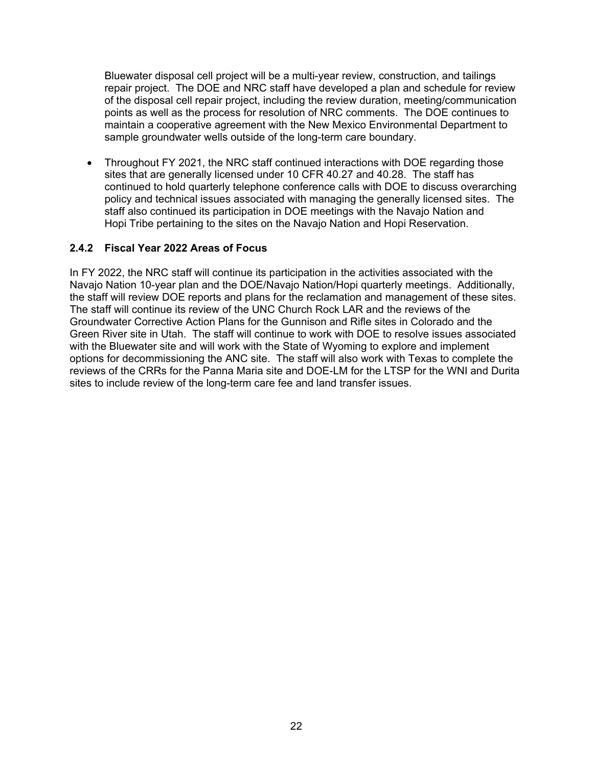Bluewater disposal cell project will be a multi-year review, construction, and tailings repair project. The DOE and NRC staff have developed a plan and schedule for review of the disposal cell repair project, including the review duration, meeting/communication points as well as the process for resolution of NRC comments. The DOE continues to maintain a cooperative agreement with the New Mexico Environmental Department to sample groundwater wells outside of the long-term care boundary.

• Throughout FY 2021, the NRC staff continued interactions with DOE regarding those sites that are generally licensed under 10 CFR 40.27 and 40.28. The staff has continued to hold quarterly telephone conference calls with DOE to discuss overarching policy and technical issues associated with managing the generally licensed sites. The staff also continued its participation in DOE meetings with the Navajo Nation and Hopi Tribe pertaining to the sites on the Navajo Nation and Hopi Reservation.

#### **2.4.2 Fiscal Year 2022 Areas of Focus**

In FY 2022, the NRC staff will continue its participation in the activities associated with the Navajo Nation 10-year plan and the DOE/Navajo Nation/Hopi quarterly meetings. Additionally, the staff will review DOE reports and plans for the reclamation and management of these sites. The staff will continue its review of the UNC Church Rock LAR and the reviews of the Groundwater Corrective Action Plans for the Gunnison and Rifle sites in Colorado and the Green River site in Utah. The staff will continue to work with DOE to resolve issues associated with the Bluewater site and will work with the State of Wyoming to explore and implement options for decommissioning the ANC site. The staff will also work with Texas to complete the reviews of the CRRs for the Panna Maria site and DOE-LM for the LTSP for the WNI and Durita sites to include review of the long-term care fee and land transfer issues.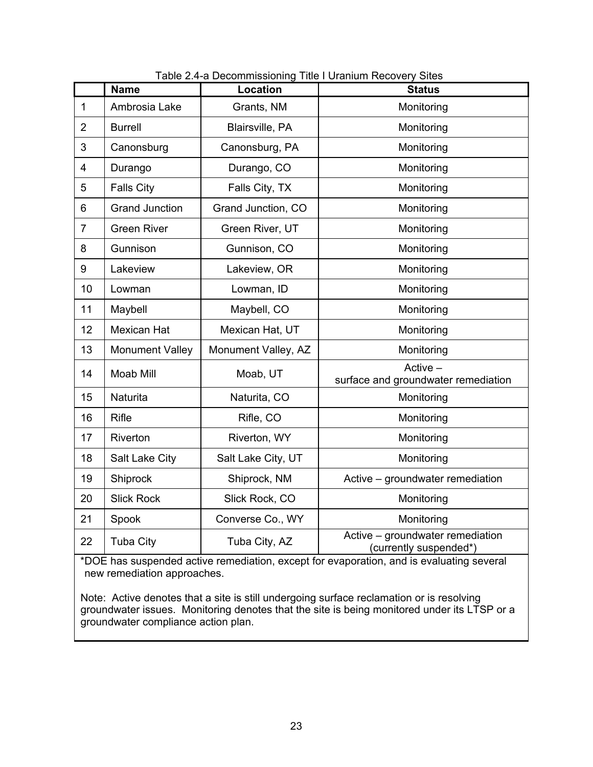|                | <b>Name</b>            | Location            | <b>Status</b>                                              |
|----------------|------------------------|---------------------|------------------------------------------------------------|
| $\mathbf{1}$   | Ambrosia Lake          | Grants, NM          | Monitoring                                                 |
| $\overline{2}$ | <b>Burrell</b>         | Blairsville, PA     | Monitoring                                                 |
| 3              | Canonsburg             | Canonsburg, PA      | Monitoring                                                 |
| $\overline{4}$ | Durango                | Durango, CO         | Monitoring                                                 |
| 5              | <b>Falls City</b>      | Falls City, TX      | Monitoring                                                 |
| 6              | <b>Grand Junction</b>  | Grand Junction, CO  | Monitoring                                                 |
| $\overline{7}$ | <b>Green River</b>     | Green River, UT     | Monitoring                                                 |
| 8              | Gunnison               | Gunnison, CO        | Monitoring                                                 |
| 9              | Lakeview               | Lakeview, OR        | Monitoring                                                 |
| 10             | Lowman                 | Lowman, ID          | Monitoring                                                 |
| 11             | Maybell                | Maybell, CO         | Monitoring                                                 |
| 12             | <b>Mexican Hat</b>     | Mexican Hat, UT     | Monitoring                                                 |
| 13             | <b>Monument Valley</b> | Monument Valley, AZ | Monitoring                                                 |
| 14             | Moab Mill              | Moab, UT            | $Active -$<br>surface and groundwater remediation          |
| 15             | Naturita               | Naturita, CO        | Monitoring                                                 |
| 16             | Rifle                  | Rifle, CO           | Monitoring                                                 |
| 17             | Riverton               | Riverton, WY        | Monitoring                                                 |
| 18             | Salt Lake City         | Salt Lake City, UT  | Monitoring                                                 |
| 19             | Shiprock               | Shiprock, NM        | Active - groundwater remediation                           |
| 20             | <b>Slick Rock</b>      | Slick Rock, CO      | Monitoring                                                 |
| 21             | Spook                  | Converse Co., WY    | Monitoring                                                 |
| 22             | <b>Tuba City</b>       | Tuba City, AZ       | Active - groundwater remediation<br>(currently suspended*) |

5Table 2.4-a Decommissioning Title I Uranium Recovery Sites

\*DOE has suspended active remediation, except for evaporation, and is evaluating several new remediation approaches.

Note: Active denotes that a site is still undergoing surface reclamation or is resolving groundwater issues. Monitoring denotes that the site is being monitored under its LTSP or a groundwater compliance action plan.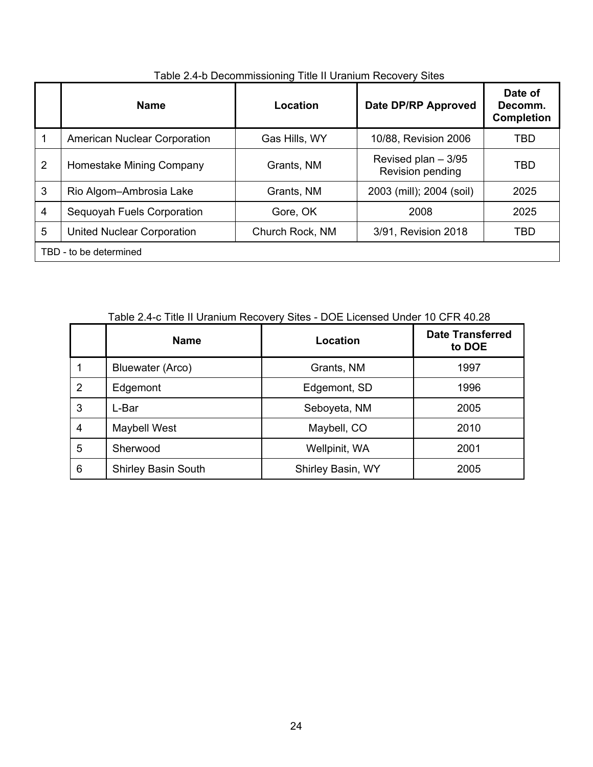|                | <b>Name</b>                         | Location               | Date DP/RP Approved                      | Date of<br>Decomm.<br><b>Completion</b> |  |  |  |
|----------------|-------------------------------------|------------------------|------------------------------------------|-----------------------------------------|--|--|--|
| 1              | <b>American Nuclear Corporation</b> | Gas Hills, WY          | 10/88, Revision 2006                     | TBD                                     |  |  |  |
| $\overline{2}$ | Homestake Mining Company            | Grants, NM             | Revised plan $-3/95$<br>Revision pending | <b>TBD</b>                              |  |  |  |
| 3              | Rio Algom-Ambrosia Lake             | Grants, NM             | 2003 (mill); 2004 (soil)                 | 2025                                    |  |  |  |
| $\overline{4}$ | Sequoyah Fuels Corporation          | Gore, OK               | 2008                                     | 2025                                    |  |  |  |
| 5              | <b>United Nuclear Corporation</b>   | Church Rock, NM        | 3/91, Revision 2018                      | TBD                                     |  |  |  |
|                |                                     | TBD - to be determined |                                          |                                         |  |  |  |

### Table 2.4-b Decommissioning Title II Uranium Recovery Sites

7Table 2.4-c Title II Uranium Recovery Sites - DOE Licensed Under 10 CFR 40.28

|   | <b>Name</b>                | Location          | <b>Date Transferred</b><br>to DOE |
|---|----------------------------|-------------------|-----------------------------------|
|   | Bluewater (Arco)           | Grants, NM        | 1997                              |
| 2 | Edgemont                   | Edgemont, SD      | 1996                              |
| 3 | L-Bar                      | Seboyeta, NM      | 2005                              |
| 4 | Maybell West               | Maybell, CO       | 2010                              |
| 5 | Sherwood                   | Wellpinit, WA     | 2001                              |
| 6 | <b>Shirley Basin South</b> | Shirley Basin, WY | 2005                              |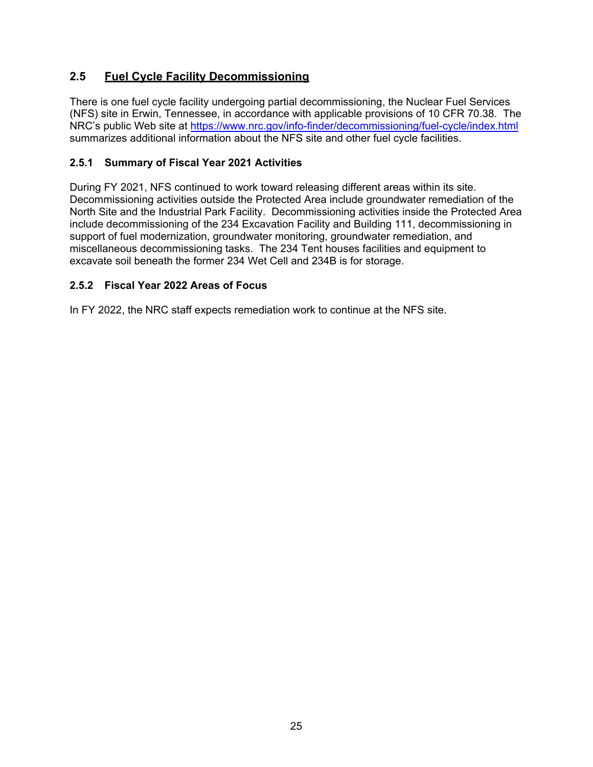# **2.5 Fuel Cycle Facility Decommissioning**

There is one fuel cycle facility undergoing partial decommissioning, the Nuclear Fuel Services (NFS) site in Erwin, Tennessee, in accordance with applicable provisions of 10 CFR 70.38. The NRC's public Web site at https://www.nrc.gov/info-finder/decommissioning/fuel-cycle/index.html summarizes additional information about the NFS site and other fuel cycle facilities.

#### **2.5.1 Summary of Fiscal Year 2021 Activities**

During FY 2021, NFS continued to work toward releasing different areas within its site. Decommissioning activities outside the Protected Area include groundwater remediation of the North Site and the Industrial Park Facility. Decommissioning activities inside the Protected Area include decommissioning of the 234 Excavation Facility and Building 111, decommissioning in support of fuel modernization, groundwater monitoring, groundwater remediation, and miscellaneous decommissioning tasks. The 234 Tent houses facilities and equipment to excavate soil beneath the former 234 Wet Cell and 234B is for storage.

#### **2.5.2 Fiscal Year 2022 Areas of Focus**

In FY 2022, the NRC staff expects remediation work to continue at the NFS site.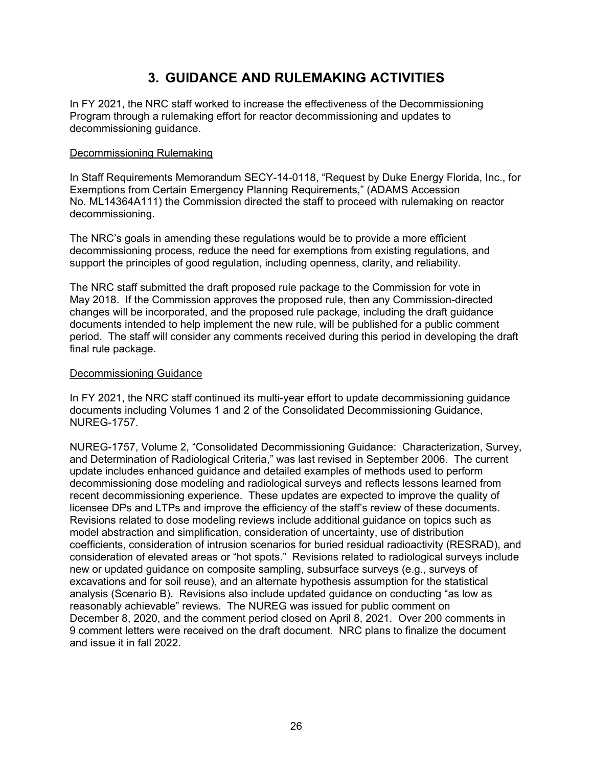# **3. GUIDANCE AND RULEMAKING ACTIVITIES**

In FY 2021, the NRC staff worked to increase the effectiveness of the Decommissioning Program through a rulemaking effort for reactor decommissioning and updates to decommissioning guidance.

#### Decommissioning Rulemaking

In Staff Requirements Memorandum SECY-14-0118, "Request by Duke Energy Florida, Inc., for Exemptions from Certain Emergency Planning Requirements," (ADAMS Accession No. ML14364A111) the Commission directed the staff to proceed with rulemaking on reactor decommissioning.

The NRC's goals in amending these regulations would be to provide a more efficient decommissioning process, reduce the need for exemptions from existing regulations, and support the principles of good regulation, including openness, clarity, and reliability.

The NRC staff submitted the draft proposed rule package to the Commission for vote in May 2018. If the Commission approves the proposed rule, then any Commission-directed changes will be incorporated, and the proposed rule package, including the draft guidance documents intended to help implement the new rule, will be published for a public comment period. The staff will consider any comments received during this period in developing the draft final rule package.

#### Decommissioning Guidance

In FY 2021, the NRC staff continued its multi-year effort to update decommissioning guidance documents including Volumes 1 and 2 of the Consolidated Decommissioning Guidance, NUREG-1757.

NUREG-1757, Volume 2, "Consolidated Decommissioning Guidance: Characterization, Survey, and Determination of Radiological Criteria," was last revised in September 2006. The current update includes enhanced guidance and detailed examples of methods used to perform decommissioning dose modeling and radiological surveys and reflects lessons learned from recent decommissioning experience. These updates are expected to improve the quality of licensee DPs and LTPs and improve the efficiency of the staff's review of these documents. Revisions related to dose modeling reviews include additional guidance on topics such as model abstraction and simplification, consideration of uncertainty, use of distribution coefficients, consideration of intrusion scenarios for buried residual radioactivity (RESRAD), and consideration of elevated areas or "hot spots." Revisions related to radiological surveys include new or updated guidance on composite sampling, subsurface surveys (e.g., surveys of excavations and for soil reuse), and an alternate hypothesis assumption for the statistical analysis (Scenario B). Revisions also include updated guidance on conducting "as low as reasonably achievable" reviews. The NUREG was issued for public comment on December 8, 2020, and the comment period closed on April 8, 2021. Over 200 comments in 9 comment letters were received on the draft document. NRC plans to finalize the document and issue it in fall 2022.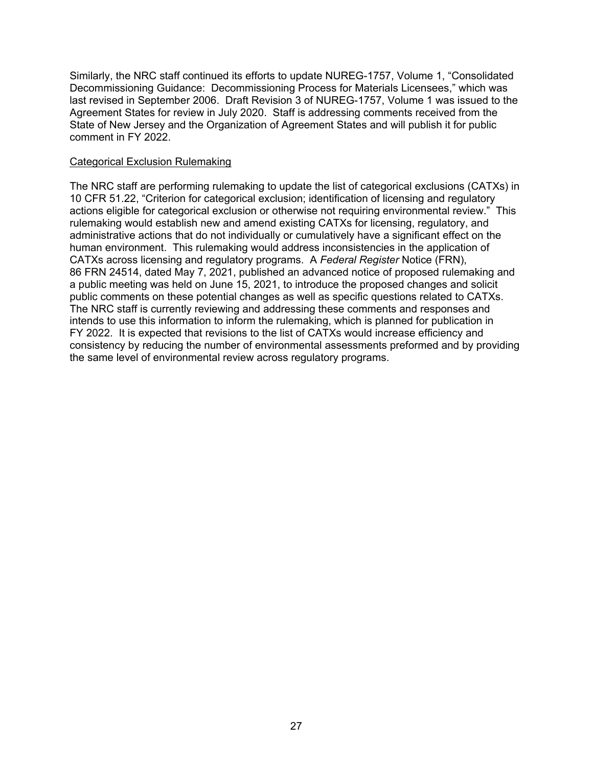Similarly, the NRC staff continued its efforts to update NUREG-1757, Volume 1, "Consolidated Decommissioning Guidance: Decommissioning Process for Materials Licensees," which was last revised in September 2006. Draft Revision 3 of NUREG-1757, Volume 1 was issued to the Agreement States for review in July 2020. Staff is addressing comments received from the State of New Jersey and the Organization of Agreement States and will publish it for public comment in FY 2022.

#### Categorical Exclusion Rulemaking

The NRC staff are performing rulemaking to update the list of categorical exclusions (CATXs) in 10 CFR 51.22, "Criterion for categorical exclusion; identification of licensing and regulatory actions eligible for categorical exclusion or otherwise not requiring environmental review." This rulemaking would establish new and amend existing CATXs for licensing, regulatory, and administrative actions that do not individually or cumulatively have a significant effect on the human environment. This rulemaking would address inconsistencies in the application of CATXs across licensing and regulatory programs. A *Federal Register* Notice (FRN), 86 FRN 24514, dated May 7, 2021, published an advanced notice of proposed rulemaking and a public meeting was held on June 15, 2021, to introduce the proposed changes and solicit public comments on these potential changes as well as specific questions related to CATXs. The NRC staff is currently reviewing and addressing these comments and responses and intends to use this information to inform the rulemaking, which is planned for publication in FY 2022. It is expected that revisions to the list of CATXs would increase efficiency and consistency by reducing the number of environmental assessments preformed and by providing the same level of environmental review across regulatory programs.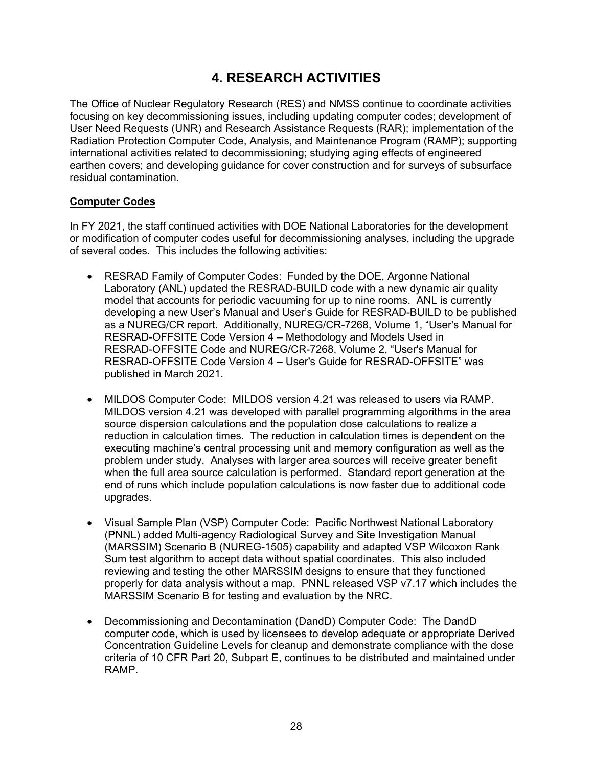# **4. RESEARCH ACTIVITIES**

The Office of Nuclear Regulatory Research (RES) and NMSS continue to coordinate activities focusing on key decommissioning issues, including updating computer codes; development of User Need Requests (UNR) and Research Assistance Requests (RAR); implementation of the Radiation Protection Computer Code, Analysis, and Maintenance Program (RAMP); supporting international activities related to decommissioning; studying aging effects of engineered earthen covers; and developing guidance for cover construction and for surveys of subsurface residual contamination.

#### **Computer Codes**

In FY 2021, the staff continued activities with DOE National Laboratories for the development or modification of computer codes useful for decommissioning analyses, including the upgrade of several codes. This includes the following activities:

- RESRAD Family of Computer Codes: Funded by the DOE, Argonne National Laboratory (ANL) updated the RESRAD-BUILD code with a new dynamic air quality model that accounts for periodic vacuuming for up to nine rooms. ANL is currently developing a new User's Manual and User's Guide for RESRAD-BUILD to be published as a NUREG/CR report. Additionally, NUREG/CR-7268, Volume 1, "User's Manual for RESRAD-OFFSITE Code Version 4 – Methodology and Models Used in RESRAD-OFFSITE Code and NUREG/CR-7268, Volume 2, "User's Manual for RESRAD-OFFSITE Code Version 4 – User's Guide for RESRAD-OFFSITE" was published in March 2021.
- MILDOS Computer Code: MILDOS version 4.21 was released to users via RAMP. MILDOS version 4.21 was developed with parallel programming algorithms in the area source dispersion calculations and the population dose calculations to realize a reduction in calculation times. The reduction in calculation times is dependent on the executing machine's central processing unit and memory configuration as well as the problem under study. Analyses with larger area sources will receive greater benefit when the full area source calculation is performed. Standard report generation at the end of runs which include population calculations is now faster due to additional code upgrades.
- Visual Sample Plan (VSP) Computer Code: Pacific Northwest National Laboratory (PNNL) added Multi-agency Radiological Survey and Site Investigation Manual (MARSSIM) Scenario B (NUREG-1505) capability and adapted VSP Wilcoxon Rank Sum test algorithm to accept data without spatial coordinates. This also included reviewing and testing the other MARSSIM designs to ensure that they functioned properly for data analysis without a map. PNNL released VSP v7.17 which includes the MARSSIM Scenario B for testing and evaluation by the NRC.
- Decommissioning and Decontamination (DandD) Computer Code: The DandD computer code, which is used by licensees to develop adequate or appropriate Derived Concentration Guideline Levels for cleanup and demonstrate compliance with the dose criteria of 10 CFR Part 20, Subpart E, continues to be distributed and maintained under RAMP.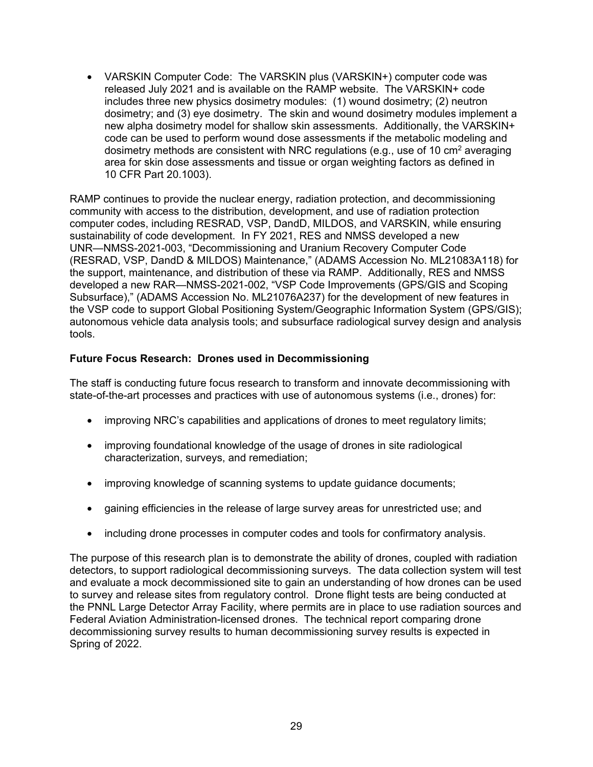• VARSKIN Computer Code: The VARSKIN plus (VARSKIN+) computer code was released July 2021 and is available on the RAMP website. The VARSKIN+ code includes three new physics dosimetry modules: (1) wound dosimetry; (2) neutron dosimetry; and (3) eye dosimetry. The skin and wound dosimetry modules implement a new alpha dosimetry model for shallow skin assessments. Additionally, the VARSKIN+ code can be used to perform wound dose assessments if the metabolic modeling and dosimetry methods are consistent with NRC regulations (e.g., use of 10 cm<sup>2</sup> averaging area for skin dose assessments and tissue or organ weighting factors as defined in 10 CFR Part 20.1003).

RAMP continues to provide the nuclear energy, radiation protection, and decommissioning community with access to the distribution, development, and use of radiation protection computer codes, including RESRAD, VSP, DandD, MILDOS, and VARSKIN, while ensuring sustainability of code development. In FY 2021, RES and NMSS developed a new UNR—NMSS-2021-003, "Decommissioning and Uranium Recovery Computer Code (RESRAD, VSP, DandD & MILDOS) Maintenance," (ADAMS Accession No. ML21083A118) for the support, maintenance, and distribution of these via RAMP. Additionally, RES and NMSS developed a new RAR—NMSS-2021-002, "VSP Code Improvements (GPS/GIS and Scoping Subsurface)," (ADAMS Accession No. ML21076A237) for the development of new features in the VSP code to support Global Positioning System/Geographic Information System (GPS/GIS); autonomous vehicle data analysis tools; and subsurface radiological survey design and analysis tools.

#### **Future Focus Research: Drones used in Decommissioning**

The staff is conducting future focus research to transform and innovate decommissioning with state-of-the-art processes and practices with use of autonomous systems (i.e., drones) for:

- improving NRC's capabilities and applications of drones to meet regulatory limits;
- improving foundational knowledge of the usage of drones in site radiological characterization, surveys, and remediation;
- improving knowledge of scanning systems to update guidance documents;
- gaining efficiencies in the release of large survey areas for unrestricted use; and
- including drone processes in computer codes and tools for confirmatory analysis.

The purpose of this research plan is to demonstrate the ability of drones, coupled with radiation detectors, to support radiological decommissioning surveys. The data collection system will test and evaluate a mock decommissioned site to gain an understanding of how drones can be used to survey and release sites from regulatory control. Drone flight tests are being conducted at the PNNL Large Detector Array Facility, where permits are in place to use radiation sources and Federal Aviation Administration-licensed drones. The technical report comparing drone decommissioning survey results to human decommissioning survey results is expected in Spring of 2022.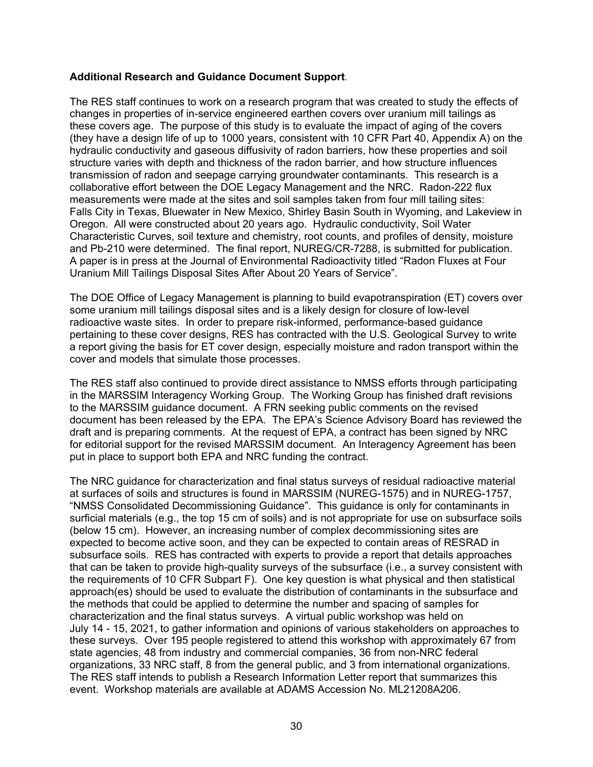#### **Additional Research and Guidance Document Support**.

The RES staff continues to work on a research program that was created to study the effects of changes in properties of in-service engineered earthen covers over uranium mill tailings as these covers age. The purpose of this study is to evaluate the impact of aging of the covers (they have a design life of up to 1000 years, consistent with 10 CFR Part 40, Appendix A) on the hydraulic conductivity and gaseous diffusivity of radon barriers, how these properties and soil structure varies with depth and thickness of the radon barrier, and how structure influences transmission of radon and seepage carrying groundwater contaminants. This research is a collaborative effort between the DOE Legacy Management and the NRC. Radon-222 flux measurements were made at the sites and soil samples taken from four mill tailing sites: Falls City in Texas, Bluewater in New Mexico, Shirley Basin South in Wyoming, and Lakeview in Oregon. All were constructed about 20 years ago. Hydraulic conductivity, Soil Water Characteristic Curves, soil texture and chemistry, root counts, and profiles of density, moisture and Pb-210 were determined. The final report, NUREG/CR-7288, is submitted for publication. A paper is in press at the Journal of Environmental Radioactivity titled "Radon Fluxes at Four Uranium Mill Tailings Disposal Sites After About 20 Years of Service".

The DOE Office of Legacy Management is planning to build evapotranspiration (ET) covers over some uranium mill tailings disposal sites and is a likely design for closure of low-level radioactive waste sites. In order to prepare risk-informed, performance-based guidance pertaining to these cover designs, RES has contracted with the U.S. Geological Survey to write a report giving the basis for ET cover design, especially moisture and radon transport within the cover and models that simulate those processes.

The RES staff also continued to provide direct assistance to NMSS efforts through participating in the MARSSIM Interagency Working Group. The Working Group has finished draft revisions to the MARSSIM guidance document. A FRN seeking public comments on the revised document has been released by the EPA. The EPA's Science Advisory Board has reviewed the draft and is preparing comments. At the request of EPA, a contract has been signed by NRC for editorial support for the revised MARSSIM document. An Interagency Agreement has been put in place to support both EPA and NRC funding the contract.

The NRC guidance for characterization and final status surveys of residual radioactive material at surfaces of soils and structures is found in MARSSIM (NUREG-1575) and in NUREG-1757, "NMSS Consolidated Decommissioning Guidance". This guidance is only for contaminants in surficial materials (e.g., the top 15 cm of soils) and is not appropriate for use on subsurface soils (below 15 cm). However, an increasing number of complex decommissioning sites are expected to become active soon, and they can be expected to contain areas of RESRAD in subsurface soils. RES has contracted with experts to provide a report that details approaches that can be taken to provide high-quality surveys of the subsurface (i.e., a survey consistent with the requirements of 10 CFR Subpart F). One key question is what physical and then statistical approach(es) should be used to evaluate the distribution of contaminants in the subsurface and the methods that could be applied to determine the number and spacing of samples for characterization and the final status surveys. A virtual public workshop was held on July 14 - 15, 2021, to gather information and opinions of various stakeholders on approaches to these surveys. Over 195 people registered to attend this workshop with approximately 67 from state agencies, 48 from industry and commercial companies, 36 from non-NRC federal organizations, 33 NRC staff, 8 from the general public, and 3 from international organizations. The RES staff intends to publish a Research Information Letter report that summarizes this event. Workshop materials are available at ADAMS Accession No. ML21208A206.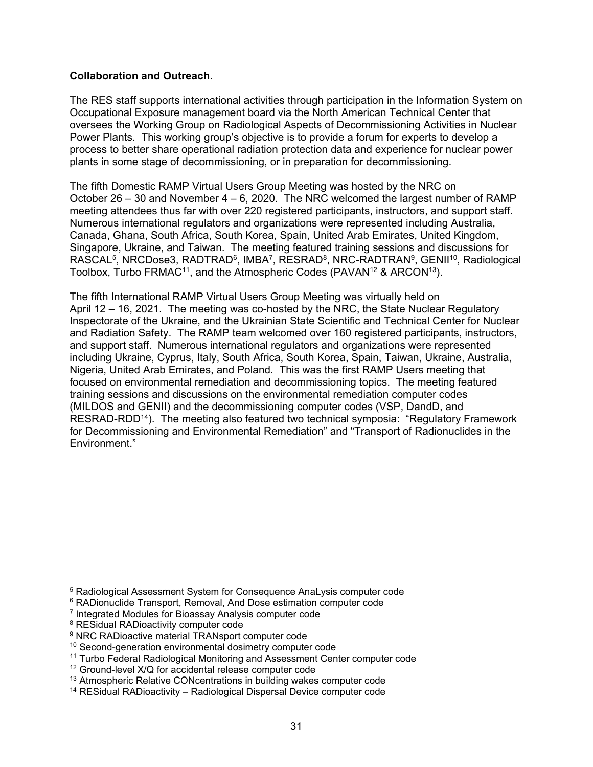#### **Collaboration and Outreach**.

The RES staff supports international activities through participation in the Information System on Occupational Exposure management board via the North American Technical Center that oversees the Working Group on Radiological Aspects of Decommissioning Activities in Nuclear Power Plants. This working group's objective is to provide a forum for experts to develop a process to better share operational radiation protection data and experience for nuclear power plants in some stage of decommissioning, or in preparation for decommissioning.

The fifth Domestic RAMP Virtual Users Group Meeting was hosted by the NRC on October 26 – 30 and November 4 – 6, 2020. The NRC welcomed the largest number of RAMP meeting attendees thus far with over 220 registered participants, instructors, and support staff. Numerous international regulators and organizations were represented including Australia, Canada, Ghana, South Africa, South Korea, Spain, United Arab Emirates, United Kingdom, Singapore, Ukraine, and Taiwan. The meeting featured training sessions and discussions for RASCAL<sup>5</sup>, NRCDose3, RADTRAD<sup>6</sup>, IMBA<sup>7</sup>, RESRAD<sup>8</sup>, NRC-RADTRAN<sup>9</sup>, GENII<sup>10</sup>, Radiological Toolbox, Turbo FRMAC<sup>11</sup>, and the Atmospheric Codes (PAVAN<sup>12</sup> & ARCON<sup>13</sup>).

The fifth International RAMP Virtual Users Group Meeting was virtually held on April 12 – 16, 2021. The meeting was co-hosted by the NRC, the State Nuclear Regulatory Inspectorate of the Ukraine, and the Ukrainian State Scientific and Technical Center for Nuclear and Radiation Safety. The RAMP team welcomed over 160 registered participants, instructors, and support staff. Numerous international regulators and organizations were represented including Ukraine, Cyprus, Italy, South Africa, South Korea, Spain, Taiwan, Ukraine, Australia, Nigeria, United Arab Emirates, and Poland. This was the first RAMP Users meeting that focused on environmental remediation and decommissioning topics. The meeting featured training sessions and discussions on the environmental remediation computer codes (MILDOS and GENII) and the decommissioning computer codes (VSP, DandD, and RESRAD-RDD14). The meeting also featured two technical symposia: "Regulatory Framework for Decommissioning and Environmental Remediation" and "Transport of Radionuclides in the Environment."

-

<sup>5</sup> Radiological Assessment System for Consequence AnaLysis computer code

<sup>&</sup>lt;sup>6</sup> RADionuclide Transport, Removal, And Dose estimation computer code

<sup>7</sup> Integrated Modules for Bioassay Analysis computer code

<sup>8</sup> RESidual RADioactivity computer code

<sup>&</sup>lt;sup>9</sup> NRC RADioactive material TRANsport computer code

<sup>&</sup>lt;sup>10</sup> Second-generation environmental dosimetry computer code

<sup>11</sup> Turbo Federal Radiological Monitoring and Assessment Center computer code

<sup>&</sup>lt;sup>12</sup> Ground-level X/Q for accidental release computer code

<sup>&</sup>lt;sup>13</sup> Atmospheric Relative CONcentrations in building wakes computer code

<sup>&</sup>lt;sup>14</sup> RESidual RADioactivity – Radiological Dispersal Device computer code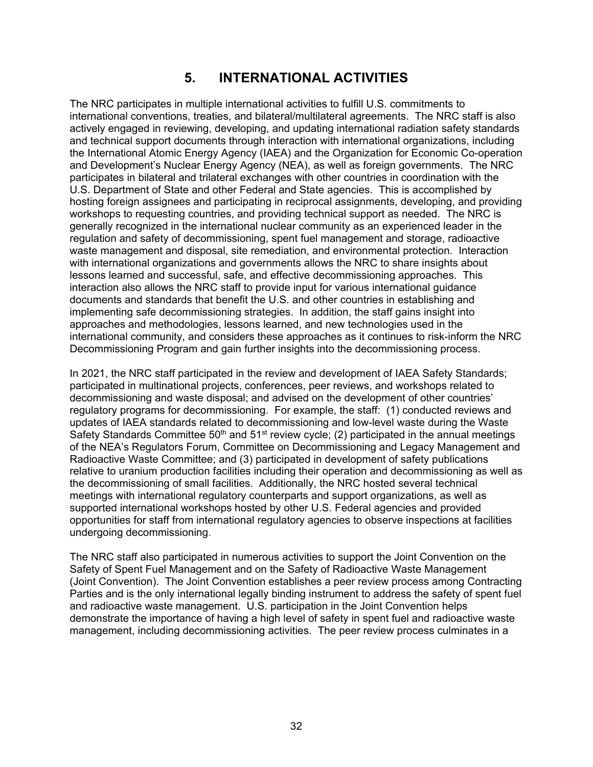# **5. INTERNATIONAL ACTIVITIES**

The NRC participates in multiple international activities to fulfill U.S. commitments to international conventions, treaties, and bilateral/multilateral agreements. The NRC staff is also actively engaged in reviewing, developing, and updating international radiation safety standards and technical support documents through interaction with international organizations, including the International Atomic Energy Agency (IAEA) and the Organization for Economic Co-operation and Development's Nuclear Energy Agency (NEA), as well as foreign governments. The NRC participates in bilateral and trilateral exchanges with other countries in coordination with the U.S. Department of State and other Federal and State agencies. This is accomplished by hosting foreign assignees and participating in reciprocal assignments, developing, and providing workshops to requesting countries, and providing technical support as needed. The NRC is generally recognized in the international nuclear community as an experienced leader in the regulation and safety of decommissioning, spent fuel management and storage, radioactive waste management and disposal, site remediation, and environmental protection. Interaction with international organizations and governments allows the NRC to share insights about lessons learned and successful, safe, and effective decommissioning approaches. This interaction also allows the NRC staff to provide input for various international guidance documents and standards that benefit the U.S. and other countries in establishing and implementing safe decommissioning strategies. In addition, the staff gains insight into approaches and methodologies, lessons learned, and new technologies used in the international community, and considers these approaches as it continues to risk-inform the NRC Decommissioning Program and gain further insights into the decommissioning process.

In 2021, the NRC staff participated in the review and development of IAEA Safety Standards; participated in multinational projects, conferences, peer reviews, and workshops related to decommissioning and waste disposal; and advised on the development of other countries' regulatory programs for decommissioning. For example, the staff: (1) conducted reviews and updates of IAEA standards related to decommissioning and low-level waste during the Waste Safety Standards Committee  $50<sup>th</sup>$  and  $51<sup>st</sup>$  review cycle; (2) participated in the annual meetings of the NEA's Regulators Forum, Committee on Decommissioning and Legacy Management and Radioactive Waste Committee; and (3) participated in development of safety publications relative to uranium production facilities including their operation and decommissioning as well as the decommissioning of small facilities. Additionally, the NRC hosted several technical meetings with international regulatory counterparts and support organizations, as well as supported international workshops hosted by other U.S. Federal agencies and provided opportunities for staff from international regulatory agencies to observe inspections at facilities undergoing decommissioning.

The NRC staff also participated in numerous activities to support the Joint Convention on the Safety of Spent Fuel Management and on the Safety of Radioactive Waste Management (Joint Convention). The Joint Convention establishes a peer review process among Contracting Parties and is the only international legally binding instrument to address the safety of spent fuel and radioactive waste management. U.S. participation in the Joint Convention helps demonstrate the importance of having a high level of safety in spent fuel and radioactive waste management, including decommissioning activities. The peer review process culminates in a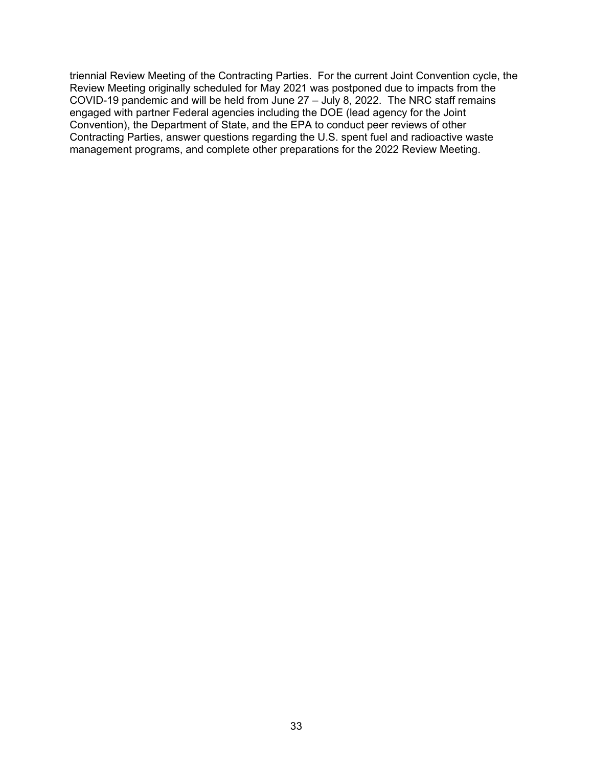triennial Review Meeting of the Contracting Parties. For the current Joint Convention cycle, the Review Meeting originally scheduled for May 2021 was postponed due to impacts from the COVID-19 pandemic and will be held from June 27 – July 8, 2022. The NRC staff remains engaged with partner Federal agencies including the DOE (lead agency for the Joint Convention), the Department of State, and the EPA to conduct peer reviews of other Contracting Parties, answer questions regarding the U.S. spent fuel and radioactive waste management programs, and complete other preparations for the 2022 Review Meeting.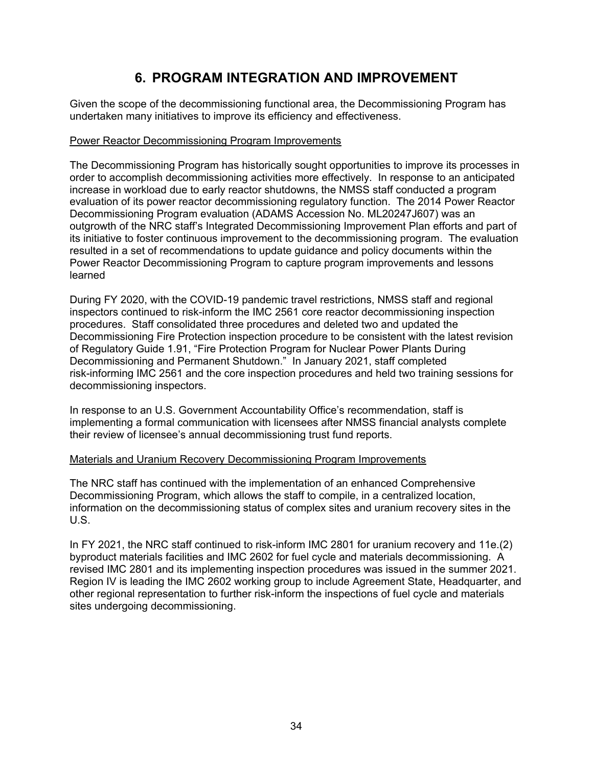# **6. PROGRAM INTEGRATION AND IMPROVEMENT**

Given the scope of the decommissioning functional area, the Decommissioning Program has undertaken many initiatives to improve its efficiency and effectiveness.

#### Power Reactor Decommissioning Program Improvements

The Decommissioning Program has historically sought opportunities to improve its processes in order to accomplish decommissioning activities more effectively. In response to an anticipated increase in workload due to early reactor shutdowns, the NMSS staff conducted a program evaluation of its power reactor decommissioning regulatory function. The 2014 Power Reactor Decommissioning Program evaluation (ADAMS Accession No. ML20247J607) was an outgrowth of the NRC staff's Integrated Decommissioning Improvement Plan efforts and part of its initiative to foster continuous improvement to the decommissioning program. The evaluation resulted in a set of recommendations to update guidance and policy documents within the Power Reactor Decommissioning Program to capture program improvements and lessons learned

During FY 2020, with the COVID-19 pandemic travel restrictions, NMSS staff and regional inspectors continued to risk-inform the IMC 2561 core reactor decommissioning inspection procedures. Staff consolidated three procedures and deleted two and updated the Decommissioning Fire Protection inspection procedure to be consistent with the latest revision of Regulatory Guide 1.91, "Fire Protection Program for Nuclear Power Plants During Decommissioning and Permanent Shutdown." In January 2021, staff completed risk-informing IMC 2561 and the core inspection procedures and held two training sessions for decommissioning inspectors.

In response to an U.S. Government Accountability Office's recommendation, staff is implementing a formal communication with licensees after NMSS financial analysts complete their review of licensee's annual decommissioning trust fund reports.

#### Materials and Uranium Recovery Decommissioning Program Improvements

The NRC staff has continued with the implementation of an enhanced Comprehensive Decommissioning Program, which allows the staff to compile, in a centralized location, information on the decommissioning status of complex sites and uranium recovery sites in the U.S.

In FY 2021, the NRC staff continued to risk-inform IMC 2801 for uranium recovery and 11e.(2) byproduct materials facilities and IMC 2602 for fuel cycle and materials decommissioning. A revised IMC 2801 and its implementing inspection procedures was issued in the summer 2021. Region IV is leading the IMC 2602 working group to include Agreement State, Headquarter, and other regional representation to further risk-inform the inspections of fuel cycle and materials sites undergoing decommissioning.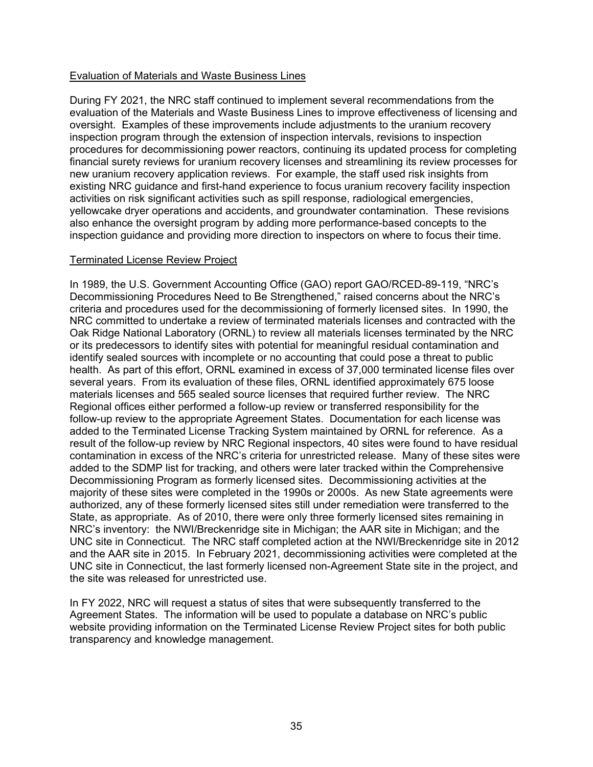#### Evaluation of Materials and Waste Business Lines

During FY 2021, the NRC staff continued to implement several recommendations from the evaluation of the Materials and Waste Business Lines to improve effectiveness of licensing and oversight. Examples of these improvements include adjustments to the uranium recovery inspection program through the extension of inspection intervals, revisions to inspection procedures for decommissioning power reactors, continuing its updated process for completing financial surety reviews for uranium recovery licenses and streamlining its review processes for new uranium recovery application reviews. For example, the staff used risk insights from existing NRC guidance and first-hand experience to focus uranium recovery facility inspection activities on risk significant activities such as spill response, radiological emergencies, yellowcake dryer operations and accidents, and groundwater contamination. These revisions also enhance the oversight program by adding more performance-based concepts to the inspection guidance and providing more direction to inspectors on where to focus their time.

#### Terminated License Review Project

In 1989, the U.S. Government Accounting Office (GAO) report GAO/RCED-89-119, "NRC's Decommissioning Procedures Need to Be Strengthened," raised concerns about the NRC's criteria and procedures used for the decommissioning of formerly licensed sites. In 1990, the NRC committed to undertake a review of terminated materials licenses and contracted with the Oak Ridge National Laboratory (ORNL) to review all materials licenses terminated by the NRC or its predecessors to identify sites with potential for meaningful residual contamination and identify sealed sources with incomplete or no accounting that could pose a threat to public health. As part of this effort, ORNL examined in excess of 37,000 terminated license files over several years. From its evaluation of these files, ORNL identified approximately 675 loose materials licenses and 565 sealed source licenses that required further review. The NRC Regional offices either performed a follow-up review or transferred responsibility for the follow-up review to the appropriate Agreement States. Documentation for each license was added to the Terminated License Tracking System maintained by ORNL for reference. As a result of the follow-up review by NRC Regional inspectors, 40 sites were found to have residual contamination in excess of the NRC's criteria for unrestricted release. Many of these sites were added to the SDMP list for tracking, and others were later tracked within the Comprehensive Decommissioning Program as formerly licensed sites. Decommissioning activities at the majority of these sites were completed in the 1990s or 2000s. As new State agreements were authorized, any of these formerly licensed sites still under remediation were transferred to the State, as appropriate. As of 2010, there were only three formerly licensed sites remaining in NRC's inventory: the NWI/Breckenridge site in Michigan; the AAR site in Michigan; and the UNC site in Connecticut. The NRC staff completed action at the NWI/Breckenridge site in 2012 and the AAR site in 2015. In February 2021, decommissioning activities were completed at the UNC site in Connecticut, the last formerly licensed non-Agreement State site in the project, and the site was released for unrestricted use.

In FY 2022, NRC will request a status of sites that were subsequently transferred to the Agreement States. The information will be used to populate a database on NRC's public website providing information on the Terminated License Review Project sites for both public transparency and knowledge management.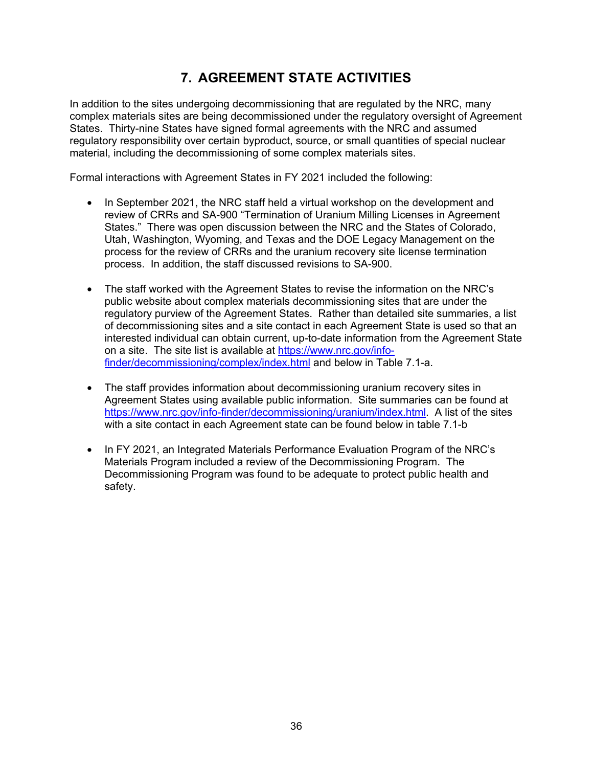# **7. AGREEMENT STATE ACTIVITIES**

In addition to the sites undergoing decommissioning that are regulated by the NRC, many complex materials sites are being decommissioned under the regulatory oversight of Agreement States. Thirty-nine States have signed formal agreements with the NRC and assumed regulatory responsibility over certain byproduct, source, or small quantities of special nuclear material, including the decommissioning of some complex materials sites.

Formal interactions with Agreement States in FY 2021 included the following:

- In September 2021, the NRC staff held a virtual workshop on the development and review of CRRs and SA-900 "Termination of Uranium Milling Licenses in Agreement States." There was open discussion between the NRC and the States of Colorado, Utah, Washington, Wyoming, and Texas and the DOE Legacy Management on the process for the review of CRRs and the uranium recovery site license termination process. In addition, the staff discussed revisions to SA-900.
- The staff worked with the Agreement States to revise the information on the NRC's public website about complex materials decommissioning sites that are under the regulatory purview of the Agreement States. Rather than detailed site summaries, a list of decommissioning sites and a site contact in each Agreement State is used so that an interested individual can obtain current, up-to-date information from the Agreement State on a site. The site list is available at https://www.nrc.gov/infofinder/decommissioning/complex/index.html and below in Table 7.1-a.
- The staff provides information about decommissioning uranium recovery sites in Agreement States using available public information. Site summaries can be found at https://www.nrc.gov/info-finder/decommissioning/uranium/index.html. A list of the sites with a site contact in each Agreement state can be found below in table 7.1-b
- In FY 2021, an Integrated Materials Performance Evaluation Program of the NRC's Materials Program included a review of the Decommissioning Program. The Decommissioning Program was found to be adequate to protect public health and safety.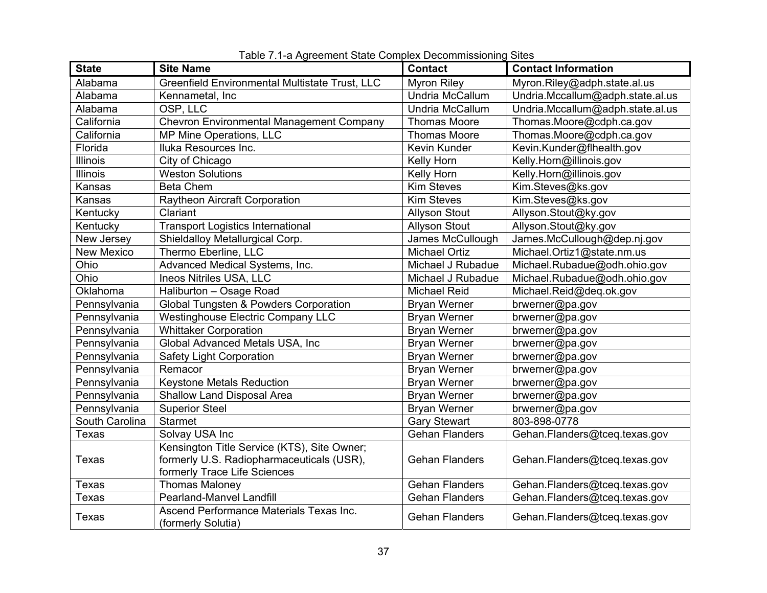| <b>State</b>      | <b>Site Name</b>                                              | <b>Contact</b>        | <b>Contact Information</b>       |
|-------------------|---------------------------------------------------------------|-----------------------|----------------------------------|
| Alabama           | Greenfield Environmental Multistate Trust, LLC                | <b>Myron Riley</b>    | Myron.Riley@adph.state.al.us     |
| Alabama           | Kennametal, Inc                                               | Undria McCallum       | Undria.Mccallum@adph.state.al.us |
| Alabama           | OSP, LLC                                                      | Undria McCallum       | Undria.Mccallum@adph.state.al.us |
| California        | <b>Chevron Environmental Management Company</b>               | <b>Thomas Moore</b>   | Thomas.Moore@cdph.ca.gov         |
| California        | MP Mine Operations, LLC                                       | <b>Thomas Moore</b>   | Thomas.Moore@cdph.ca.gov         |
| Florida           | Iluka Resources Inc.                                          | Kevin Kunder          | Kevin.Kunder@flhealth.gov        |
| Illinois          | City of Chicago                                               | Kelly Horn            | Kelly.Horn@illinois.gov          |
| Illinois          | <b>Weston Solutions</b>                                       | Kelly Horn            | Kelly.Horn@illinois.gov          |
| Kansas            | <b>Beta Chem</b>                                              | <b>Kim Steves</b>     | Kim.Steves@ks.gov                |
| Kansas            | <b>Raytheon Aircraft Corporation</b>                          | <b>Kim Steves</b>     | Kim.Steves@ks.gov                |
| Kentucky          | Clariant                                                      | <b>Allyson Stout</b>  | Allyson.Stout@ky.gov             |
| Kentucky          | <b>Transport Logistics International</b>                      | <b>Allyson Stout</b>  | Allyson.Stout@ky.gov             |
| New Jersey        | Shieldalloy Metallurgical Corp.                               | James McCullough      | James.McCullough@dep.nj.gov      |
| <b>New Mexico</b> | Thermo Eberline, LLC                                          | <b>Michael Ortiz</b>  | Michael.Ortiz1@state.nm.us       |
| Ohio              | Advanced Medical Systems, Inc.                                | Michael J Rubadue     | Michael.Rubadue@odh.ohio.gov     |
| Ohio              | Ineos Nitriles USA, LLC                                       | Michael J Rubadue     | Michael.Rubadue@odh.ohio.gov     |
| Oklahoma          | Haliburton - Osage Road                                       | <b>Michael Reid</b>   | Michael.Reid@deq.ok.gov          |
| Pennsylvania      | Global Tungsten & Powders Corporation                         | <b>Bryan Werner</b>   | brwerner@pa.gov                  |
| Pennsylvania      | <b>Westinghouse Electric Company LLC</b>                      | <b>Bryan Werner</b>   | brwerner@pa.gov                  |
| Pennsylvania      | <b>Whittaker Corporation</b>                                  | <b>Bryan Werner</b>   | brwerner@pa.gov                  |
| Pennsylvania      | Global Advanced Metals USA, Inc                               | <b>Bryan Werner</b>   | brwerner@pa.gov                  |
| Pennsylvania      | <b>Safety Light Corporation</b>                               | <b>Bryan Werner</b>   | brwerner@pa.gov                  |
| Pennsylvania      | Remacor                                                       | <b>Bryan Werner</b>   | brwerner@pa.gov                  |
| Pennsylvania      | <b>Keystone Metals Reduction</b>                              | <b>Bryan Werner</b>   | brwerner@pa.gov                  |
| Pennsylvania      | <b>Shallow Land Disposal Area</b>                             | <b>Bryan Werner</b>   | brwerner@pa.gov                  |
| Pennsylvania      | <b>Superior Steel</b>                                         | <b>Bryan Werner</b>   | brwerner@pa.gov                  |
| South Carolina    | <b>Starmet</b>                                                | <b>Gary Stewart</b>   | 803-898-0778                     |
| Texas             | Solvay USA Inc                                                | <b>Gehan Flanders</b> | Gehan.Flanders@tceq.texas.gov    |
|                   | Kensington Title Service (KTS), Site Owner;                   |                       |                                  |
| Texas             | formerly U.S. Radiopharmaceuticals (USR),                     | <b>Gehan Flanders</b> | Gehan.Flanders@tceq.texas.gov    |
|                   | formerly Trace Life Sciences                                  |                       |                                  |
| Texas             | <b>Thomas Maloney</b>                                         | <b>Gehan Flanders</b> | Gehan.Flanders@tceq.texas.gov    |
| Texas             | <b>Pearland-Manvel Landfill</b>                               | <b>Gehan Flanders</b> | Gehan.Flanders@tceq.texas.gov    |
| <b>Texas</b>      | Ascend Performance Materials Texas Inc.<br>(formerly Solutia) | <b>Gehan Flanders</b> | Gehan.Flanders@tceq.texas.gov    |

| Table 7.1-a Agreement State Complex Decommissioning Sites |  |
|-----------------------------------------------------------|--|
|                                                           |  |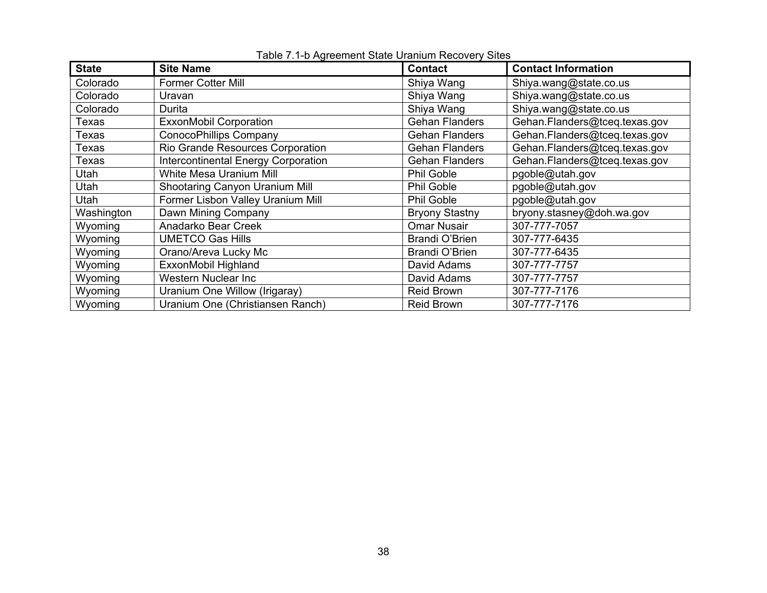| <b>State</b> | <b>Site Name</b>                           | <b>Contact</b>        | <b>Contact Information</b>    |
|--------------|--------------------------------------------|-----------------------|-------------------------------|
| Colorado     | <b>Former Cotter Mill</b>                  | Shiya Wang            | Shiya.wang@state.co.us        |
| Colorado     | Uravan                                     | Shiya Wang            | Shiya.wang@state.co.us        |
| Colorado     | Durita                                     | Shiya Wang            | Shiya.wang@state.co.us        |
| Texas        | <b>ExxonMobil Corporation</b>              | <b>Gehan Flanders</b> | Gehan.Flanders@tceq.texas.gov |
| Texas        | <b>ConocoPhillips Company</b>              | <b>Gehan Flanders</b> | Gehan.Flanders@tceq.texas.gov |
| Texas        | Rio Grande Resources Corporation           | <b>Gehan Flanders</b> | Gehan.Flanders@tceq.texas.gov |
| Texas        | <b>Intercontinental Energy Corporation</b> | <b>Gehan Flanders</b> | Gehan.Flanders@tceq.texas.gov |
| Utah         | White Mesa Uranium Mill                    | <b>Phil Goble</b>     | pgoble@utah.gov               |
| Utah         | Shootaring Canyon Uranium Mill             | Phil Goble            | pgoble@utah.gov               |
| Utah         | Former Lisbon Valley Uranium Mill          | <b>Phil Goble</b>     | pgoble@utah.gov               |
| Washington   | Dawn Mining Company                        | <b>Bryony Stastny</b> | bryony.stasney@doh.wa.gov     |
| Wyoming      | Anadarko Bear Creek                        | <b>Omar Nusair</b>    | 307-777-7057                  |
| Wyoming      | <b>UMETCO Gas Hills</b>                    | <b>Brandi O'Brien</b> | 307-777-6435                  |
| Wyoming      | Orano/Areva Lucky Mc                       | Brandi O'Brien        | 307-777-6435                  |
| Wyoming      | ExxonMobil Highland                        | David Adams           | 307-777-7757                  |
| Wyoming      | Western Nuclear Inc                        | David Adams           | 307-777-7757                  |
| Wyoming      | Uranium One Willow (Irigaray)              | <b>Reid Brown</b>     | 307-777-7176                  |
| Wyoming      | Uranium One (Christiansen Ranch)           | <b>Reid Brown</b>     | 307-777-7176                  |

Table 7.1-b Agreement State Uranium Recovery Sites